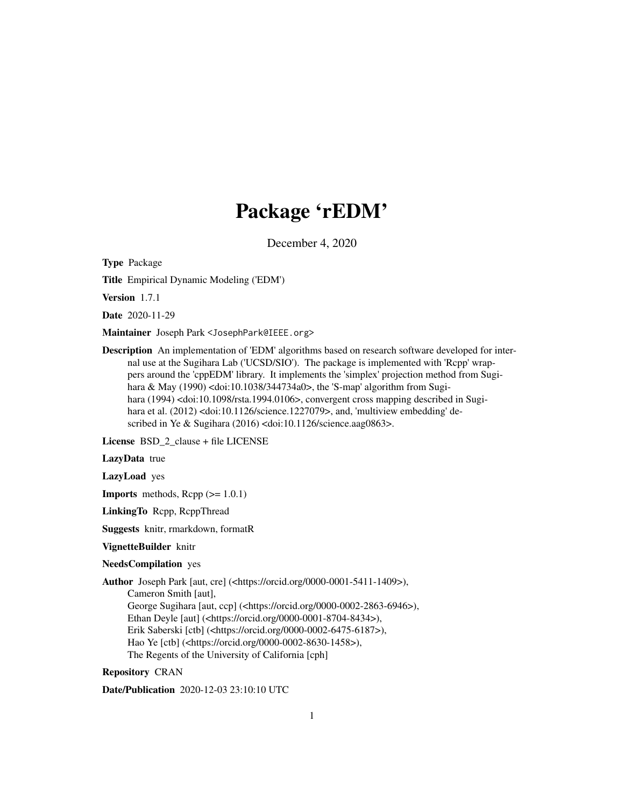# Package 'rEDM'

December 4, 2020

Type Package

Title Empirical Dynamic Modeling ('EDM')

Version 1.7.1

Date 2020-11-29

Maintainer Joseph Park <JosephPark@IEEE.org>

Description An implementation of 'EDM' algorithms based on research software developed for internal use at the Sugihara Lab ('UCSD/SIO'). The package is implemented with 'Rcpp' wrappers around the 'cppEDM' library. It implements the 'simplex' projection method from Sugihara & May (1990) <doi:10.1038/344734a0>, the 'S-map' algorithm from Sugihara (1994) <doi:10.1098/rsta.1994.0106>, convergent cross mapping described in Sugihara et al. (2012) <doi:10.1126/science.1227079>, and, 'multiview embedding' described in Ye & Sugihara (2016) <doi:10.1126/science.aag0863>.

License BSD\_2\_clause + file LICENSE

LazyData true

LazyLoad yes

**Imports** methods,  $\text{Rcpp}$  ( $>= 1.0.1$ )

LinkingTo Rcpp, RcppThread

Suggests knitr, rmarkdown, formatR

VignetteBuilder knitr

NeedsCompilation yes

Author Joseph Park [aut, cre] (<https://orcid.org/0000-0001-5411-1409>),

Cameron Smith [aut],

George Sugihara [aut, ccp] (<https://orcid.org/0000-0002-2863-6946>),

Ethan Deyle [aut] (<https://orcid.org/0000-0001-8704-8434>),

Erik Saberski [ctb] (<https://orcid.org/0000-0002-6475-6187>),

Hao Ye [ctb] (<https://orcid.org/0000-0002-8630-1458>),

The Regents of the University of California [cph]

Repository CRAN

Date/Publication 2020-12-03 23:10:10 UTC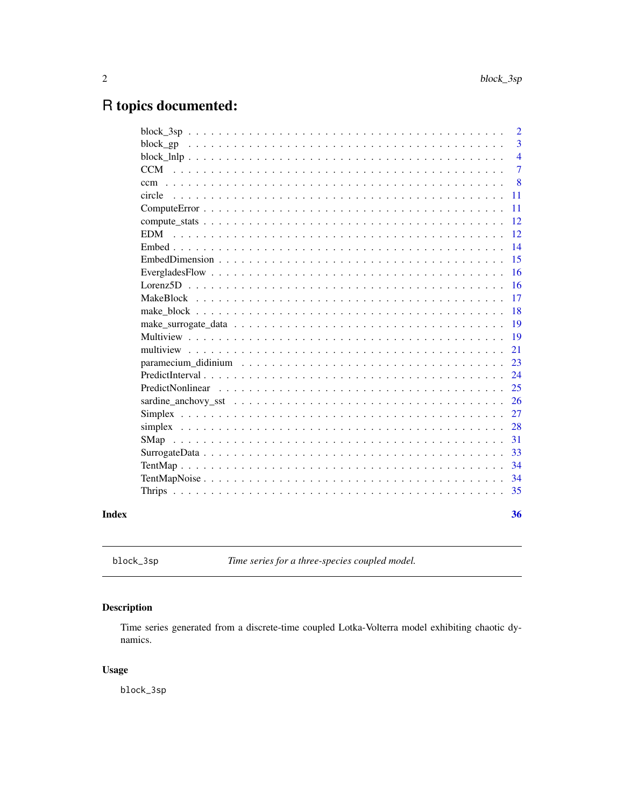## <span id="page-1-0"></span>R topics documented:

|       |                  | $\overline{2}$ |
|-------|------------------|----------------|
|       |                  | 3              |
|       |                  | $\overline{4}$ |
|       |                  | $\tau$         |
|       |                  | 8              |
|       | circle           | 11             |
|       |                  | 11             |
|       |                  | 12             |
|       | <b>EDM</b>       | 12             |
|       |                  | 14             |
|       |                  | 15             |
|       |                  | 16             |
|       |                  | 16             |
|       |                  | 17             |
|       |                  | 18             |
|       |                  | 19             |
|       |                  | 19             |
|       |                  | 21             |
|       |                  | 23             |
|       |                  | 24             |
|       | PredictNonlinear | 25             |
|       |                  | 26             |
|       |                  | 27             |
|       |                  | 28             |
|       | SMap             | 31             |
|       |                  | 33             |
|       |                  | 34             |
|       |                  | 34             |
|       |                  | 35             |
|       |                  |                |
| Index |                  | 36             |
|       |                  |                |

block\_3sp *Time series for a three-species coupled model.*

## Description

Time series generated from a discrete-time coupled Lotka-Volterra model exhibiting chaotic dynamics.

#### Usage

block\_3sp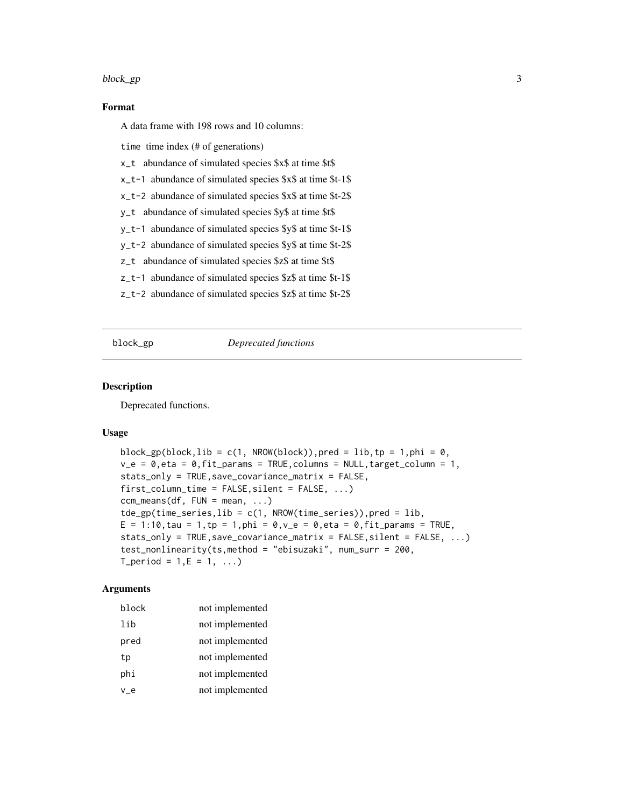#### <span id="page-2-0"></span>block\_gp 3

#### Format

A data frame with 198 rows and 10 columns:

time time index (# of generations)

x\_t abundance of simulated species \$x\$ at time \$t\$

x\_t-1 abundance of simulated species \$x\$ at time \$t-1\$

x\_t-2 abundance of simulated species \$x\$ at time \$t-2\$

y\_t abundance of simulated species \$y\$ at time \$t\$

y\_t-1 abundance of simulated species \$y\$ at time \$t-1\$

y\_t-2 abundance of simulated species \$y\$ at time \$t-2\$

z\_t abundance of simulated species \$z\$ at time \$t\$

z\_t-1 abundance of simulated species \$z\$ at time \$t-1\$

z\_t-2 abundance of simulated species \$z\$ at time \$t-2\$

#### block\_gp *Deprecated functions*

#### Description

Deprecated functions.

#### Usage

```
block_gp(block,lib = c(1, NROW(block)), pred = lib, tp = 1, phi = 0,
v_e = 0, eta = 0, fit_params = TRUE, columns = NULL, target_column = 1,
stats_only = TRUE,save_covariance_matrix = FALSE,
first\_column_time = FALSE, silent = FALSE, ...)ccm_means(df, FUN = mean, ...)
tde\_gp(time\_series, lib = c(1, NROW(time\_series)), pred = lib,E = 1:10, tau = 1, tp = 1, phi = 0, v_e = 0, eta = 0, fit_params = TRUE,
stats\_only = TRUE, save\_covariance\_matrix = FALSE, silent = FALSE, ...)test_nonlinearity(ts,method = "ebisuzaki", num_surr = 200,
T_{\text{period}} = 1, E = 1, ...
```
#### Arguments

| block | not implemented |
|-------|-----------------|
| lib   | not implemented |
| pred  | not implemented |
| tp    | not implemented |
| phi   | not implemented |
| $v_e$ | not implemented |
|       |                 |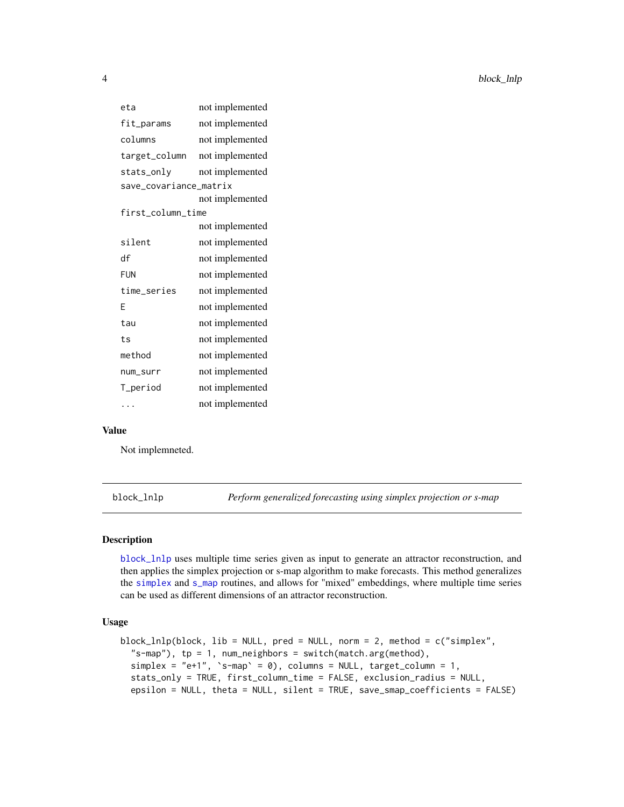<span id="page-3-0"></span>

| eta                    | not implemented |  |
|------------------------|-----------------|--|
| fit_params             | not implemented |  |
| columns                | not implemented |  |
| target_column          | not implemented |  |
| stats_only             | not implemented |  |
| save_covariance_matrix |                 |  |
|                        | not implemented |  |
| first_column_time      |                 |  |
|                        | not implemented |  |
| silent                 | not implemented |  |
| df                     | not implemented |  |
| <b>FUN</b>             | not implemented |  |
| time_series            | not implemented |  |
| F                      | not implemented |  |
| tau                    | not implemented |  |
| ts                     | not implemented |  |
| method                 | not implemented |  |
| num_surr               | not implemented |  |
| T_period               | not implemented |  |
|                        | not implemented |  |

#### Value

Not implemneted.

<span id="page-3-1"></span>block\_lnlp *Perform generalized forecasting using simplex projection or s-map*

#### Description

[block\\_lnlp](#page-3-1) uses multiple time series given as input to generate an attractor reconstruction, and then applies the simplex projection or s-map algorithm to make forecasts. This method generalizes the [simplex](#page-27-1) and [s\\_map](#page-27-2) routines, and allows for "mixed" embeddings, where multiple time series can be used as different dimensions of an attractor reconstruction.

#### Usage

```
block_lnlp(block, lib = NULL, pred = NULL, norm = 2, method = c("simplex",
  "s-map"), tp = 1, num_neighbors = switch(match.arg(method),
  simplex = "e+1", 's-map' = 0), columns = NULL, target_columns = 1,stats_only = TRUE, first_column_time = FALSE, exclusion_radius = NULL,
  epsilon = NULL, theta = NULL, silent = TRUE, save_smap_coefficients = FALSE)
```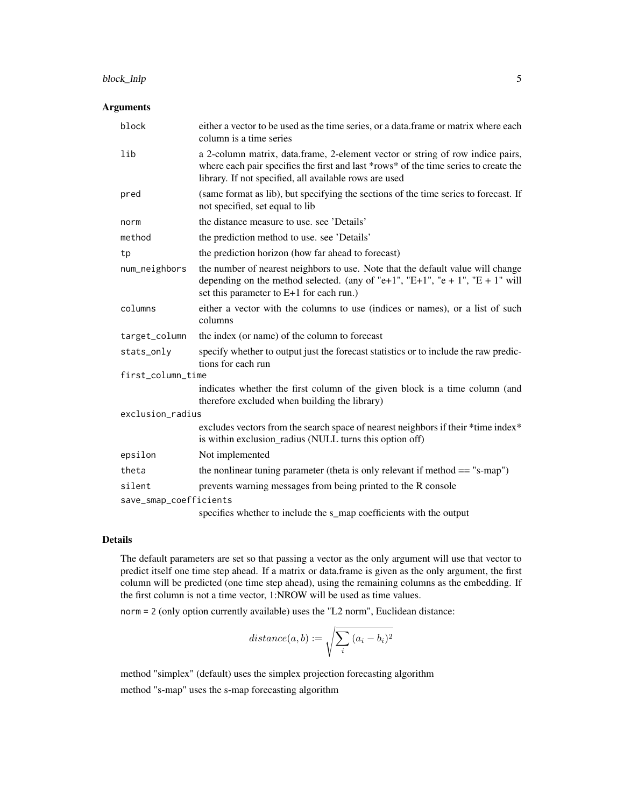#### block\_lnlp 5

#### Arguments

| block                  | either a vector to be used as the time series, or a data.frame or matrix where each<br>column is a time series                                                                                                                   |  |
|------------------------|----------------------------------------------------------------------------------------------------------------------------------------------------------------------------------------------------------------------------------|--|
| lib                    | a 2-column matrix, data.frame, 2-element vector or string of row indice pairs,<br>where each pair specifies the first and last *rows* of the time series to create the<br>library. If not specified, all available rows are used |  |
| pred                   | (same format as lib), but specifying the sections of the time series to forecast. If<br>not specified, set equal to lib                                                                                                          |  |
| norm                   | the distance measure to use, see 'Details'                                                                                                                                                                                       |  |
| method                 | the prediction method to use. see 'Details'                                                                                                                                                                                      |  |
| tp                     | the prediction horizon (how far ahead to forecast)                                                                                                                                                                               |  |
| num_neighbors          | the number of nearest neighbors to use. Note that the default value will change<br>depending on the method selected. (any of "e+1", "E+1", "e + 1", "E + 1" will<br>set this parameter to E+1 for each run.)                     |  |
| columns                | either a vector with the columns to use (indices or names), or a list of such<br>columns                                                                                                                                         |  |
| target_column          | the index (or name) of the column to forecast                                                                                                                                                                                    |  |
| stats_only             | specify whether to output just the forecast statistics or to include the raw predic-<br>tions for each run                                                                                                                       |  |
| first_column_time      |                                                                                                                                                                                                                                  |  |
|                        | indicates whether the first column of the given block is a time column (and<br>therefore excluded when building the library)                                                                                                     |  |
| exclusion_radius       |                                                                                                                                                                                                                                  |  |
|                        | excludes vectors from the search space of nearest neighbors if their *time index*<br>is within exclusion_radius (NULL turns this option off)                                                                                     |  |
| epsilon                | Not implemented                                                                                                                                                                                                                  |  |
| theta                  | the nonlinear tuning parameter (theta is only relevant if method $==$ "s-map")                                                                                                                                                   |  |
| silent                 | prevents warning messages from being printed to the R console                                                                                                                                                                    |  |
| save_smap_coefficients |                                                                                                                                                                                                                                  |  |
|                        | specifies whether to include the s_map coefficients with the output                                                                                                                                                              |  |

#### Details

The default parameters are set so that passing a vector as the only argument will use that vector to predict itself one time step ahead. If a matrix or data.frame is given as the only argument, the first column will be predicted (one time step ahead), using the remaining columns as the embedding. If the first column is not a time vector, 1:NROW will be used as time values.

norm = 2 (only option currently available) uses the "L2 norm", Euclidean distance:

$$
distance(a, b) := \sqrt{\sum_{i} (a_i - b_i)^2}
$$

method "simplex" (default) uses the simplex projection forecasting algorithm method "s-map" uses the s-map forecasting algorithm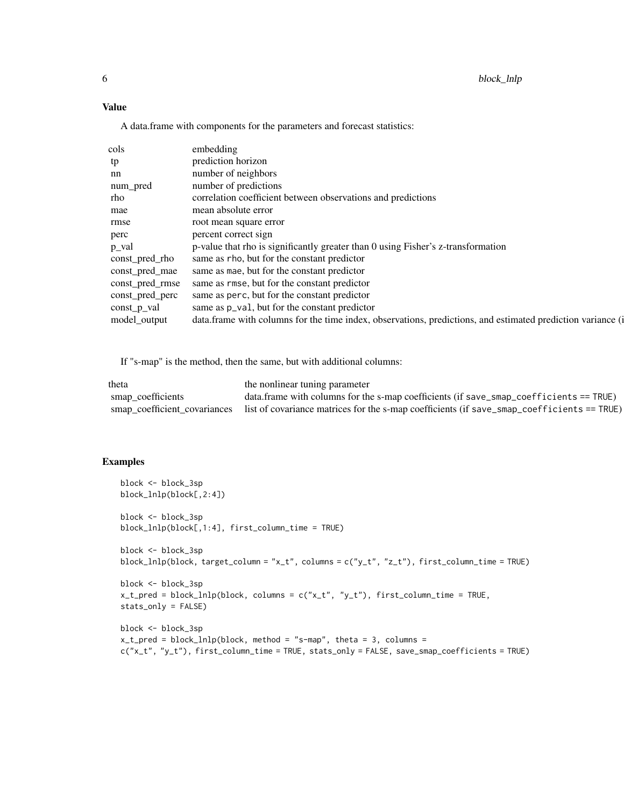#### Value

A data.frame with components for the parameters and forecast statistics:

| cols            | embedding                                                                                                   |
|-----------------|-------------------------------------------------------------------------------------------------------------|
| tp              | prediction horizon                                                                                          |
| nn              | number of neighbors                                                                                         |
| num_pred        | number of predictions                                                                                       |
| rho             | correlation coefficient between observations and predictions                                                |
| mae             | mean absolute error                                                                                         |
| rmse            | root mean square error                                                                                      |
| perc            | percent correct sign                                                                                        |
| p_val           | p-value that rho is significantly greater than 0 using Fisher's z-transformation                            |
| const_pred_rho  | same as rho, but for the constant predictor                                                                 |
| const_pred_mae  | same as mae, but for the constant predictor                                                                 |
| const_pred_rmse | same as rmse, but for the constant predictor                                                                |
| const_pred_perc | same as perc, but for the constant predictor                                                                |
| $const_p$ val   | same as $p_{val}$ , but for the constant predictor                                                          |
| model_output    | data.frame with columns for the time index, observations, predictions, and estimated prediction variance (i |

If "s-map" is the method, then the same, but with additional columns:

| theta             | the nonlinear tuning parameter                                                                                          |
|-------------------|-------------------------------------------------------------------------------------------------------------------------|
| smap coefficients | data.frame with columns for the s-map coefficients (if save_smap_coefficients == $TRUE$ )                               |
|                   | smap_coefficient_covariances list of covariance matrices for the s-map coefficients (if save_smap_coefficients == TRUE) |

#### Examples

```
block <- block_3sp
block_lnlp(block[,2:4])
block <- block_3sp
block_lnlp(block[,1:4], first_column_time = TRUE)
block <- block_3sp
block_lnlp(block, target_column = "x_t", columns = c("y_t", "z_t"), first_column_time = TRUE)
block <- block_3sp
x_t_pred = block_lnlp(block, columns = c("x_t", "y_t"), first_column_time = TRUE,
stats_only = FALSE)
block <- block_3sp
x_t-t_pred = block_lnlp(block, method = "s-map", theta = 3, columns =
c("x_t", "y_t"), first_column_time = TRUE, stats_only = FALSE, save_smap_coefficients = TRUE)
```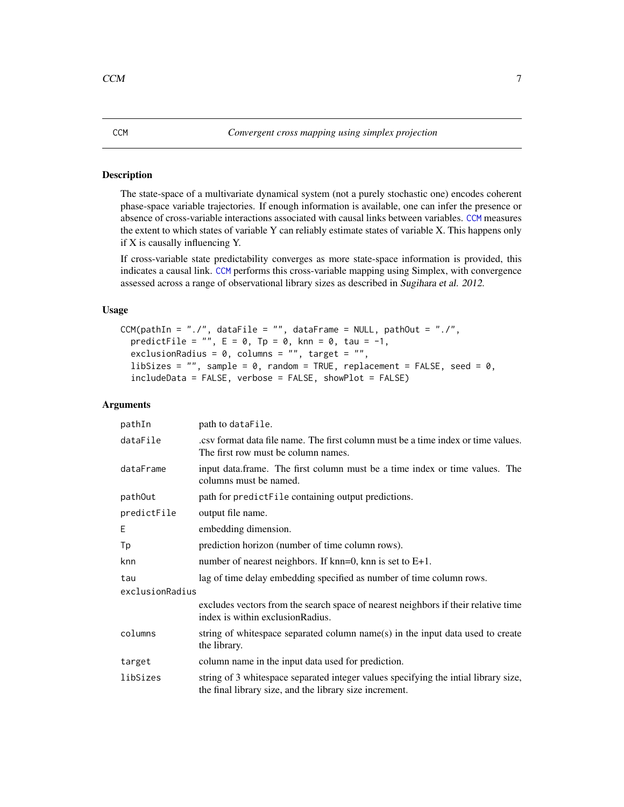#### <span id="page-6-1"></span><span id="page-6-0"></span>Description

The state-space of a multivariate dynamical system (not a purely stochastic one) encodes coherent phase-space variable trajectories. If enough information is available, one can infer the presence or absence of cross-variable interactions associated with causal links between variables. [CCM](#page-6-1) measures the extent to which states of variable Y can reliably estimate states of variable X. This happens only if X is causally influencing Y.

If cross-variable state predictability converges as more state-space information is provided, this indicates a causal link. [CCM](#page-6-1) performs this cross-variable mapping using Simplex, with convergence assessed across a range of observational library sizes as described in Sugihara et al. 2012.

#### Usage

```
CCM(pathIn = "./", dataFile = "", dataFrame = NULL, pathOut = "./",predictFile = "", E = 0, Tp = 0, knn = 0, tau = -1,
 exclusionRadius = 0, columns = "", target = "",
  libSizes = ", sample = 0, random = TRUE, replacement = FALSE, seed = 0,
  includeData = FALSE, verbose = FALSE, showPlot = FALSE)
```
#### **Arguments**

| pathIn          | path to dataFile.                                                                                                                              |
|-----------------|------------------------------------------------------------------------------------------------------------------------------------------------|
| dataFile        | ext format data file name. The first column must be a time index or time values.<br>The first row must be column names.                        |
| dataFrame       | input data.frame. The first column must be a time index or time values. The<br>columns must be named.                                          |
| pathOut         | path for predictFile containing output predictions.                                                                                            |
| predictFile     | output file name.                                                                                                                              |
| E               | embedding dimension.                                                                                                                           |
| Тp              | prediction horizon (number of time column rows).                                                                                               |
| knn             | number of nearest neighbors. If $km=0$ , knn is set to $E+1$ .                                                                                 |
| tau             | lag of time delay embedding specified as number of time column rows.                                                                           |
| exclusionRadius |                                                                                                                                                |
|                 | excludes vectors from the search space of nearest neighbors if their relative time<br>index is within exclusion Radius.                        |
| columns         | string of whitespace separated column name(s) in the input data used to create<br>the library.                                                 |
| target          | column name in the input data used for prediction.                                                                                             |
| libSizes        | string of 3 whitespace separated integer values specifying the intial library size,<br>the final library size, and the library size increment. |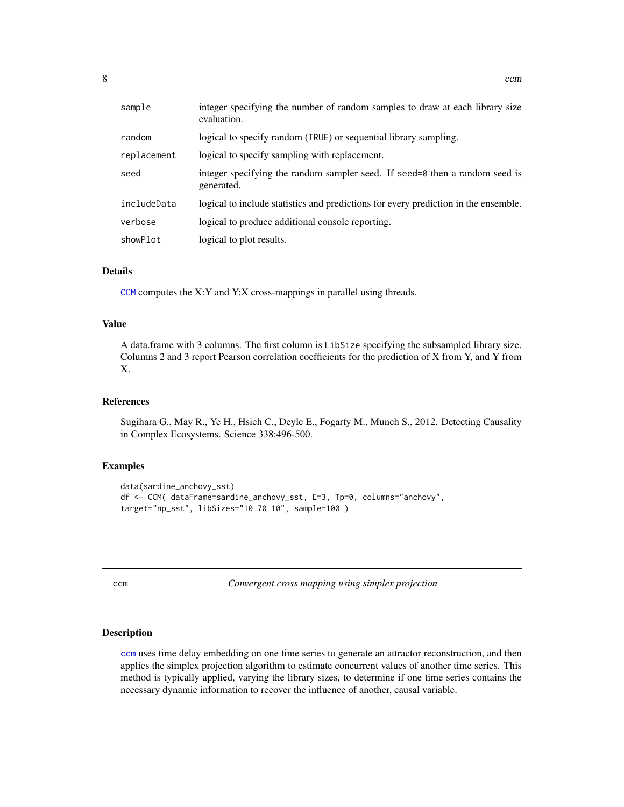<span id="page-7-0"></span>

| sample      | integer specifying the number of random samples to draw at each library size<br>evaluation.       |
|-------------|---------------------------------------------------------------------------------------------------|
| random      | logical to specify random (TRUE) or sequential library sampling.                                  |
| replacement | logical to specify sampling with replacement.                                                     |
| seed        | integer specifying the random sampler seed. If seed= $\theta$ then a random seed is<br>generated. |
| includeData | logical to include statistics and predictions for every prediction in the ensemble.               |
| verbose     | logical to produce additional console reporting.                                                  |
| showPlot    | logical to plot results.                                                                          |

#### Details

[CCM](#page-6-1) computes the X:Y and Y:X cross-mappings in parallel using threads.

#### Value

A data.frame with 3 columns. The first column is LibSize specifying the subsampled library size. Columns 2 and 3 report Pearson correlation coefficients for the prediction of X from Y, and Y from X.

#### References

Sugihara G., May R., Ye H., Hsieh C., Deyle E., Fogarty M., Munch S., 2012. Detecting Causality in Complex Ecosystems. Science 338:496-500.

#### Examples

```
data(sardine_anchovy_sst)
df <- CCM( dataFrame=sardine_anchovy_sst, E=3, Tp=0, columns="anchovy",
target="np_sst", libSizes="10 70 10", sample=100 )
```
<span id="page-7-1"></span>

| . . | ×<br>I<br>. .<br>__ |  |
|-----|---------------------|--|
|     |                     |  |

m *Convergent cross mapping using simplex projection* 

#### Description

[ccm](#page-7-1) uses time delay embedding on one time series to generate an attractor reconstruction, and then applies the simplex projection algorithm to estimate concurrent values of another time series. This method is typically applied, varying the library sizes, to determine if one time series contains the necessary dynamic information to recover the influence of another, causal variable.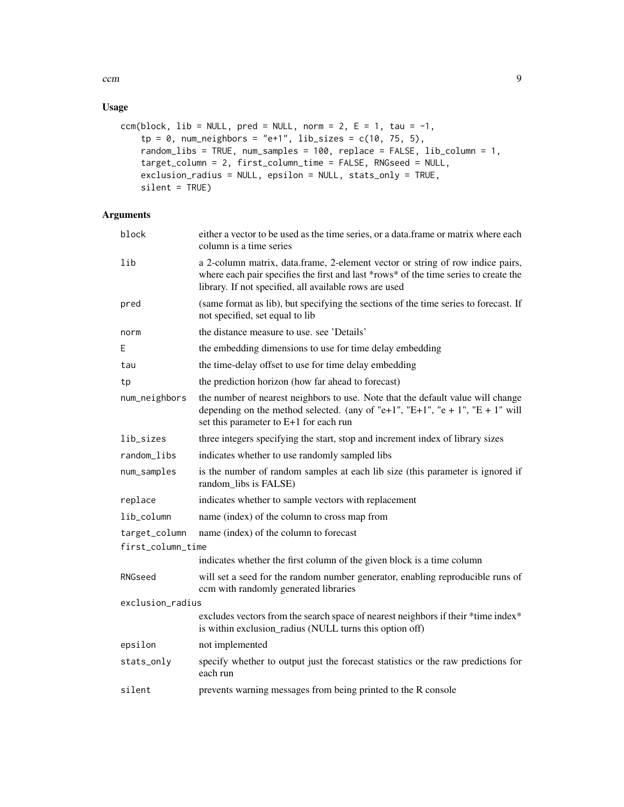$\epsilon$  ccm  $\epsilon$ 

#### Usage

```
ccm(block, lib = NULL, pred = NULL, norm = 2, E = 1, tau = -1,
   tp = 0, num_neighbors = "e+1", lib_sizes = c(10, 75, 5),
    random_libs = TRUE, num_samples = 100, replace = FALSE, lib_column = 1,
   target_column = 2, first_column_time = FALSE, RNGseed = NULL,
   exclusion_radius = NULL, epsilon = NULL, stats_only = TRUE,
   silent = TRUE)
```
#### Arguments

| block             | either a vector to be used as the time series, or a data. frame or matrix where each<br>column is a time series                                                                                                                  |
|-------------------|----------------------------------------------------------------------------------------------------------------------------------------------------------------------------------------------------------------------------------|
| lib               | a 2-column matrix, data.frame, 2-element vector or string of row indice pairs,<br>where each pair specifies the first and last *rows* of the time series to create the<br>library. If not specified, all available rows are used |
| pred              | (same format as lib), but specifying the sections of the time series to forecast. If<br>not specified, set equal to lib                                                                                                          |
| norm              | the distance measure to use. see 'Details'                                                                                                                                                                                       |
| Ε                 | the embedding dimensions to use for time delay embedding                                                                                                                                                                         |
| tau               | the time-delay offset to use for time delay embedding                                                                                                                                                                            |
| tp                | the prediction horizon (how far ahead to forecast)                                                                                                                                                                               |
| num_neighbors     | the number of nearest neighbors to use. Note that the default value will change<br>depending on the method selected. (any of "e+1", "E+1", "e + 1", "E + 1" will<br>set this parameter to E+1 for each run                       |
| lib_sizes         | three integers specifying the start, stop and increment index of library sizes                                                                                                                                                   |
| random_libs       | indicates whether to use randomly sampled libs                                                                                                                                                                                   |
| num_samples       | is the number of random samples at each lib size (this parameter is ignored if<br>random libs is FALSE)                                                                                                                          |
| replace           | indicates whether to sample vectors with replacement                                                                                                                                                                             |
| lib_column        | name (index) of the column to cross map from                                                                                                                                                                                     |
| target_column     | name (index) of the column to forecast                                                                                                                                                                                           |
| first_column_time |                                                                                                                                                                                                                                  |
|                   | indicates whether the first column of the given block is a time column                                                                                                                                                           |
| RNGseed           | will set a seed for the random number generator, enabling reproducible runs of<br>ccm with randomly generated libraries                                                                                                          |
| exclusion_radius  |                                                                                                                                                                                                                                  |
|                   | excludes vectors from the search space of nearest neighbors if their *time index*<br>is within exclusion_radius (NULL turns this option off)                                                                                     |
| epsilon           | not implemented                                                                                                                                                                                                                  |
| stats_only        | specify whether to output just the forecast statistics or the raw predictions for<br>each run                                                                                                                                    |
| silent            | prevents warning messages from being printed to the R console                                                                                                                                                                    |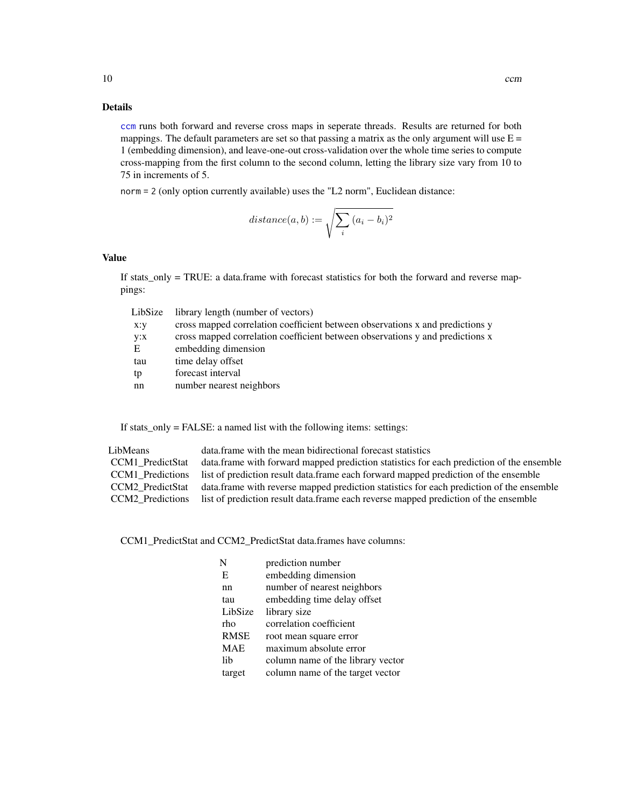#### Details

[ccm](#page-7-1) runs both forward and reverse cross maps in seperate threads. Results are returned for both mappings. The default parameters are set so that passing a matrix as the only argument will use  $E =$ 1 (embedding dimension), and leave-one-out cross-validation over the whole time series to compute cross-mapping from the first column to the second column, letting the library size vary from 10 to 75 in increments of 5.

norm = 2 (only option currently available) uses the "L2 norm", Euclidean distance:

$$
distance(a, b) := \sqrt{\sum_{i} (a_i - b_i)^2}
$$

#### Value

If stats\_only = TRUE: a data.frame with forecast statistics for both the forward and reverse mappings:

| LibSize | library length (number of vectors)                                            |
|---------|-------------------------------------------------------------------------------|
| x:y     | cross mapped correlation coefficient between observations x and predictions y |
| y:x     | cross mapped correlation coefficient between observations y and predictions x |
| E       | embedding dimension                                                           |
| tau     | time delay offset                                                             |
| tp      | forecast interval                                                             |
| nn      | number nearest neighbors                                                      |
|         |                                                                               |

If stats\_only = FALSE: a named list with the following items: settings:

| LibMeans         | data, frame with the mean bidirectional forecast statistics                                               |
|------------------|-----------------------------------------------------------------------------------------------------------|
| CCM1 PredictStat | data. frame with forward mapped prediction statistics for each prediction of the ensemble                 |
|                  | CCM1 Predictions list of prediction result data.frame each forward mapped prediction of the ensemble      |
|                  | CCM2_PredictStat data.frame with reverse mapped prediction statistics for each prediction of the ensemble |
|                  | CCM2 Predictions list of prediction result data frame each reverse mapped prediction of the ensemble      |

CCM1\_PredictStat and CCM2\_PredictStat data.frames have columns:

| N           | prediction number                 |
|-------------|-----------------------------------|
| E           | embedding dimension               |
| nn          | number of nearest neighbors       |
| tau         | embedding time delay offset       |
| LibSize     | library size                      |
| rho         | correlation coefficient           |
| <b>RMSE</b> | root mean square error            |
| <b>MAE</b>  | maximum absolute error            |
| lib         | column name of the library vector |
| target      | column name of the target vector  |

<span id="page-9-0"></span>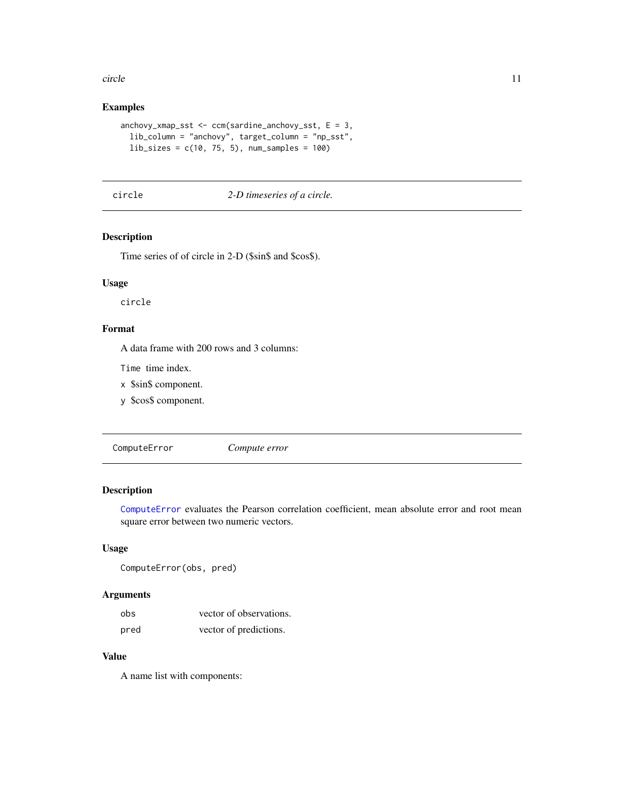#### <span id="page-10-0"></span>circle to the control of the control of the control of the control of the control of the control of the control of the control of the control of the control of the control of the control of the control of the control of th

#### Examples

```
anchovy\_xmap\_sst \leq ccm(sardine\_anchovy\_sst, E = 3,lib_column = "anchovy", target_column = "np_sst",
 lib\_sizes = c(10, 75, 5), num_samples = 100)
```
#### circle *2-D timeseries of a circle.*

#### Description

Time series of of circle in 2-D (\$sin\$ and \$cos\$).

#### Usage

circle

#### Format

A data frame with 200 rows and 3 columns:

Time time index.

- x \$sin\$ component.
- y \$cos\$ component.

<span id="page-10-1"></span>ComputeError *Compute error*

#### Description

[ComputeError](#page-10-1) evaluates the Pearson correlation coefficient, mean absolute error and root mean square error between two numeric vectors.

#### Usage

ComputeError(obs, pred)

#### Arguments

| obs  | vector of observations. |
|------|-------------------------|
| pred | vector of predictions.  |

#### Value

A name list with components: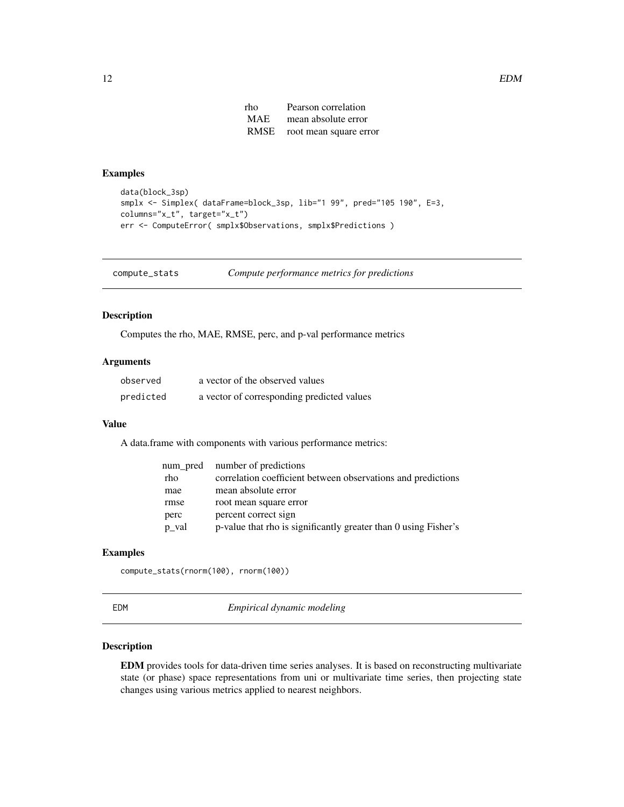| rho        | Pearson correlation         |
|------------|-----------------------------|
| <b>MAE</b> | mean absolute error         |
|            | RMSE root mean square error |

#### <span id="page-11-0"></span>Examples

```
data(block_3sp)
smplx <- Simplex( dataFrame=block_3sp, lib="1 99", pred="105 190", E=3,
columns="x_t", target="x_t")
err <- ComputeError( smplx$Observations, smplx$Predictions )
```
compute\_stats *Compute performance metrics for predictions*

#### Description

Computes the rho, MAE, RMSE, perc, and p-val performance metrics

#### Arguments

| observed  | a vector of the observed values            |
|-----------|--------------------------------------------|
| predicted | a vector of corresponding predicted values |

#### Value

A data.frame with components with various performance metrics:

| num pred | number of predictions                                           |
|----------|-----------------------------------------------------------------|
| rho      | correlation coefficient between observations and predictions    |
| mae      | mean absolute error                                             |
| rmse     | root mean square error                                          |
| perc     | percent correct sign                                            |
| p_val    | p-value that rho is significantly greater than 0 using Fisher's |

#### Examples

compute\_stats(rnorm(100), rnorm(100))

EDM *Empirical dynamic modeling*

#### Description

EDM provides tools for data-driven time series analyses. It is based on reconstructing multivariate state (or phase) space representations from uni or multivariate time series, then projecting state changes using various metrics applied to nearest neighbors.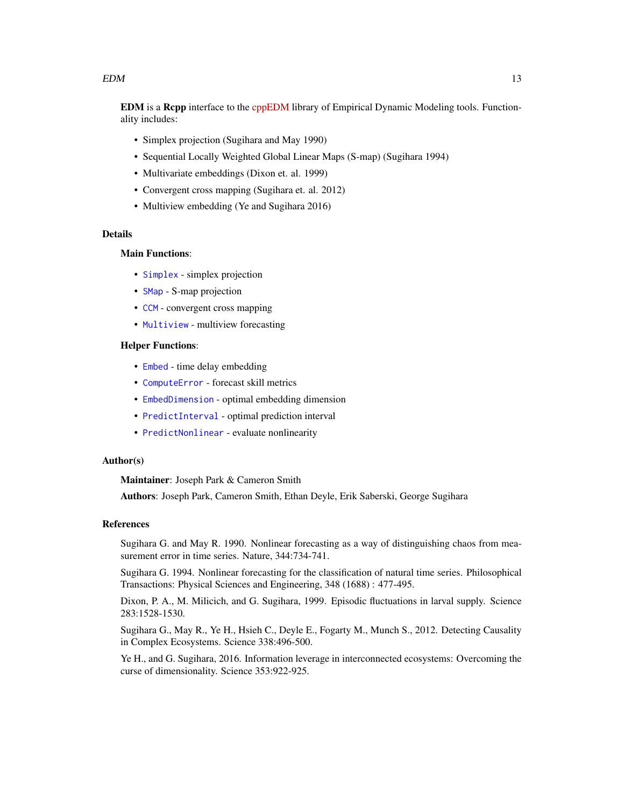#### <span id="page-12-0"></span> $EDM$  13

EDM is a Rcpp interface to the [cppEDM](https://github.com/SugiharaLab/cppEDM) library of Empirical Dynamic Modeling tools. Functionality includes:

- Simplex projection (Sugihara and May 1990)
- Sequential Locally Weighted Global Linear Maps (S-map) (Sugihara 1994)
- Multivariate embeddings (Dixon et. al. 1999)
- Convergent cross mapping (Sugihara et. al. 2012)
- Multiview embedding (Ye and Sugihara 2016)

#### Details

#### Main Functions:

- [Simplex](#page-26-1) simplex projection
- [SMap](#page-30-1) S-map projection
- [CCM](#page-6-1) convergent cross mapping
- [Multiview](#page-18-1) multiview forecasting

#### Helper Functions:

- [Embed](#page-13-1) time delay embedding
- [ComputeError](#page-10-1) forecast skill metrics
- [EmbedDimension](#page-14-1) optimal embedding dimension
- [PredictInterval](#page-23-1) optimal prediction interval
- [PredictNonlinear](#page-24-1) evaluate nonlinearity

#### Author(s)

Maintainer: Joseph Park & Cameron Smith

Authors: Joseph Park, Cameron Smith, Ethan Deyle, Erik Saberski, George Sugihara

#### References

Sugihara G. and May R. 1990. Nonlinear forecasting as a way of distinguishing chaos from measurement error in time series. Nature, 344:734-741.

Sugihara G. 1994. Nonlinear forecasting for the classification of natural time series. Philosophical Transactions: Physical Sciences and Engineering, 348 (1688) : 477-495.

Dixon, P. A., M. Milicich, and G. Sugihara, 1999. Episodic fluctuations in larval supply. Science 283:1528-1530.

Sugihara G., May R., Ye H., Hsieh C., Deyle E., Fogarty M., Munch S., 2012. Detecting Causality in Complex Ecosystems. Science 338:496-500.

Ye H., and G. Sugihara, 2016. Information leverage in interconnected ecosystems: Overcoming the curse of dimensionality. Science 353:922-925.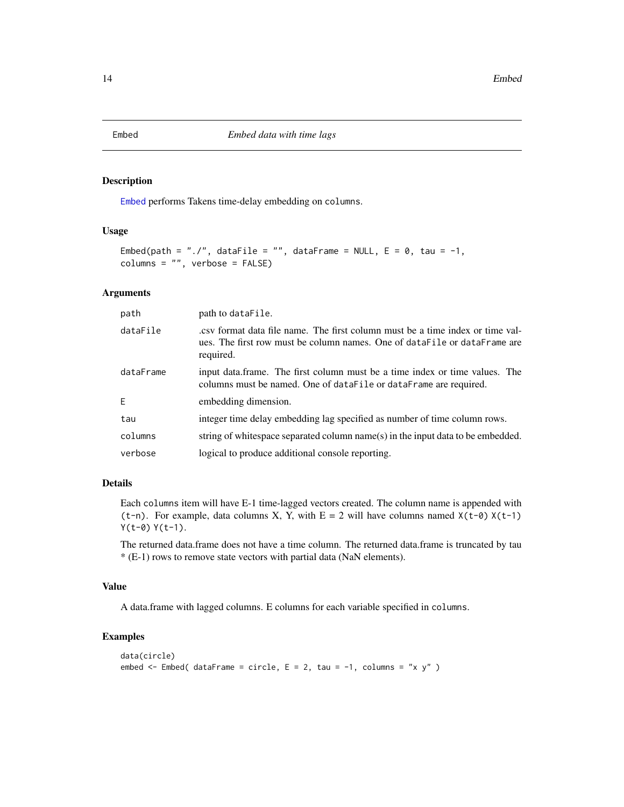<span id="page-13-1"></span><span id="page-13-0"></span>

#### Description

[Embed](#page-13-1) performs Takens time-delay embedding on columns.

#### Usage

```
Embed(path = "./", dataFile = "", dataFrame = NULL, E = 0, tau = -1,
columns = "", verbose = FALSE)
```
#### Arguments

| path      | path to dataFile.                                                                                                                                                       |
|-----------|-------------------------------------------------------------------------------------------------------------------------------------------------------------------------|
| dataFile  | ext format data file name. The first column must be a time index or time val-<br>ues. The first row must be column names. One of dataFile or dataFrame are<br>required. |
| dataFrame | input data.frame. The first column must be a time index or time values. The<br>columns must be named. One of dataFile or dataFrame are required.                        |
| E.        | embedding dimension.                                                                                                                                                    |
| tau       | integer time delay embedding lag specified as number of time column rows.                                                                                               |
| columns   | string of whitespace separated column name(s) in the input data to be embedded.                                                                                         |
| verbose   | logical to produce additional console reporting.                                                                                                                        |

#### Details

Each columns item will have E-1 time-lagged vectors created. The column name is appended with (t-n). For example, data columns X, Y, with  $E = 2$  will have columns named  $X(t-0) X(t-1)$ Y(t-0) Y(t-1).

The returned data.frame does not have a time column. The returned data.frame is truncated by tau \* (E-1) rows to remove state vectors with partial data (NaN elements).

#### Value

A data.frame with lagged columns. E columns for each variable specified in columns.

#### Examples

```
data(circle)
embed \le Embed( dataFrame = circle, E = 2, tau = -1, columns = "x y" )
```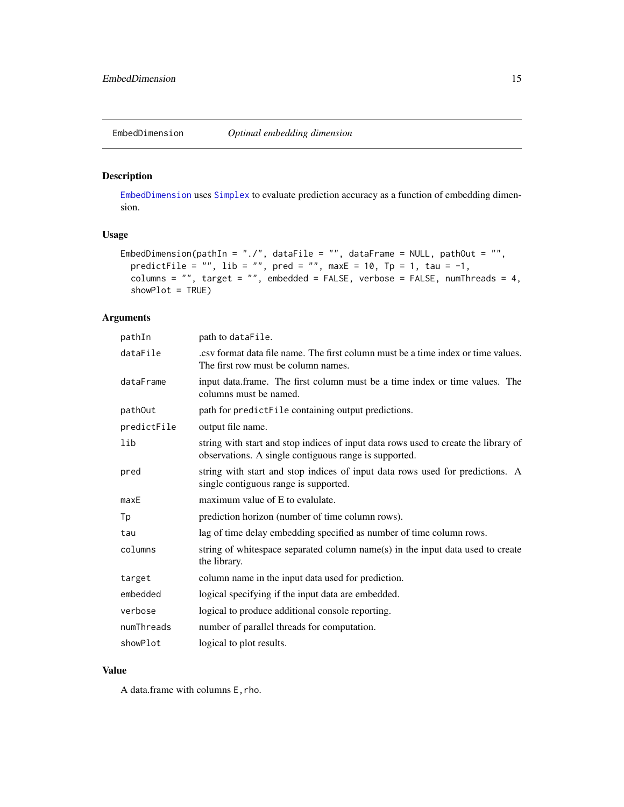<span id="page-14-1"></span><span id="page-14-0"></span>

#### Description

[EmbedDimension](#page-14-1) uses [Simplex](#page-26-1) to evaluate prediction accuracy as a function of embedding dimension.

#### Usage

```
EmbedDimension(pathIn = "./", dataFile = "", dataFrame = NULL, pathOut = "",
  predictFile = "", lib = "", pred = "", maxE = 10, Tp = 1, tau = -1,
  columns = "", target = "", embedded = FALSE, verbose = FALSE, numThreads = 4,
  showPlot = TRUE)
```
#### Arguments

| pathIn      | path to dataFile.                                                                                                                            |
|-------------|----------------------------------------------------------------------------------------------------------------------------------------------|
| dataFile    | esy format data file name. The first column must be a time index or time values.<br>The first row must be column names.                      |
| dataFrame   | input data.frame. The first column must be a time index or time values. The<br>columns must be named.                                        |
| pathOut     | path for predictFile containing output predictions.                                                                                          |
| predictFile | output file name.                                                                                                                            |
| lib         | string with start and stop indices of input data rows used to create the library of<br>observations. A single contiguous range is supported. |
| pred        | string with start and stop indices of input data rows used for predictions. A<br>single contiguous range is supported.                       |
| maxE        | maximum value of E to evalulate.                                                                                                             |
| Тp          | prediction horizon (number of time column rows).                                                                                             |
| tau         | lag of time delay embedding specified as number of time column rows.                                                                         |
| columns     | string of whitespace separated column name(s) in the input data used to create<br>the library.                                               |
| target      | column name in the input data used for prediction.                                                                                           |
| embedded    | logical specifying if the input data are embedded.                                                                                           |
| verbose     | logical to produce additional console reporting.                                                                                             |
| numThreads  | number of parallel threads for computation.                                                                                                  |
| showPlot    | logical to plot results.                                                                                                                     |
|             |                                                                                                                                              |

#### Value

A data.frame with columns E, rho.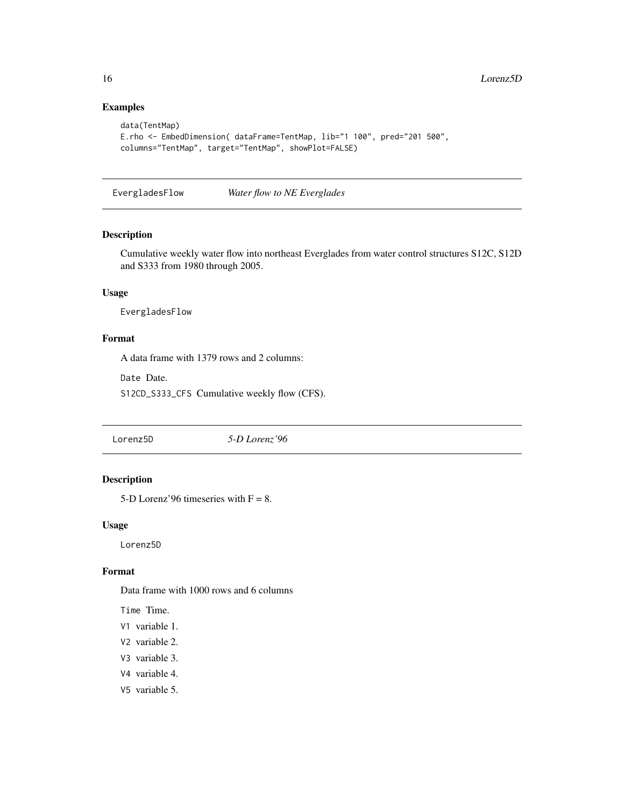#### Examples

```
data(TentMap)
E.rho <- EmbedDimension( dataFrame=TentMap, lib="1 100", pred="201 500",
columns="TentMap", target="TentMap", showPlot=FALSE)
```
EvergladesFlow *Water flow to NE Everglades*

#### Description

Cumulative weekly water flow into northeast Everglades from water control structures S12C, S12D and S333 from 1980 through 2005.

#### Usage

EvergladesFlow

#### Format

A data frame with 1379 rows and 2 columns:

Date Date.

S12CD\_S333\_CFS Cumulative weekly flow (CFS).

Lorenz5D *5-D Lorenz'96*

#### Description

5-D Lorenz'96 timeseries with  $F = 8$ .

#### Usage

Lorenz5D

#### Format

Data frame with 1000 rows and 6 columns

Time Time.

- V1 variable 1.
- V2 variable 2.
- V3 variable 3.
- V4 variable 4.
- V5 variable 5.

<span id="page-15-0"></span>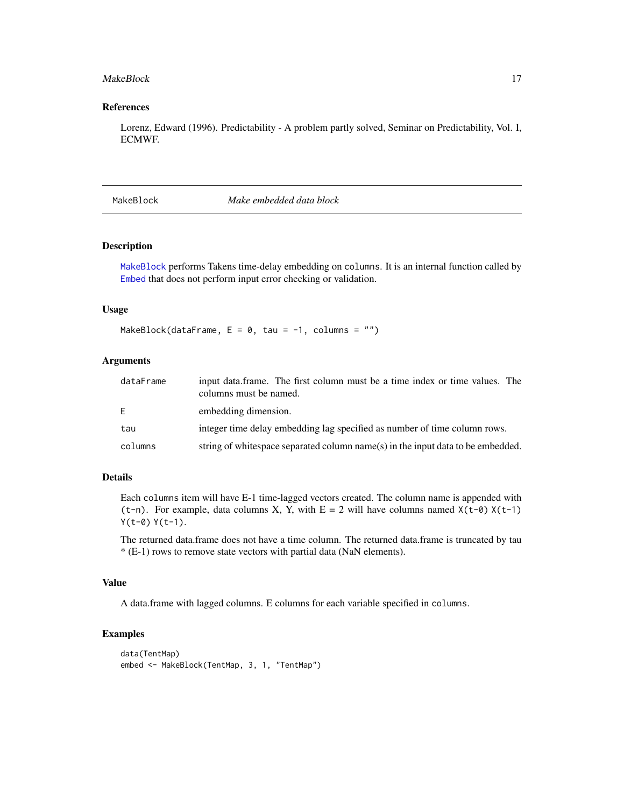#### <span id="page-16-0"></span>MakeBlock 17

#### References

Lorenz, Edward (1996). Predictability - A problem partly solved, Seminar on Predictability, Vol. I, ECMWF.

<span id="page-16-1"></span>MakeBlock *Make embedded data block*

#### Description

[MakeBlock](#page-16-1) performs Takens time-delay embedding on columns. It is an internal function called by [Embed](#page-13-1) that does not perform input error checking or validation.

#### Usage

MakeBlock(dataFrame,  $E = 0$ , tau =  $-1$ , columns = "")

#### Arguments

| dataFrame | input data.frame. The first column must be a time index or time values. The<br>columns must be named. |
|-----------|-------------------------------------------------------------------------------------------------------|
| E.        | embedding dimension.                                                                                  |
| tau       | integer time delay embedding lag specified as number of time column rows.                             |
| columns   | string of whitespace separated column name(s) in the input data to be embedded.                       |

#### Details

Each columns item will have E-1 time-lagged vectors created. The column name is appended with (t-n). For example, data columns X, Y, with  $E = 2$  will have columns named  $X(t-\theta) X(t-1)$  $Y(t-0) Y(t-1)$ .

The returned data.frame does not have a time column. The returned data.frame is truncated by tau \* (E-1) rows to remove state vectors with partial data (NaN elements).

#### Value

A data.frame with lagged columns. E columns for each variable specified in columns.

#### Examples

```
data(TentMap)
embed <- MakeBlock(TentMap, 3, 1, "TentMap")
```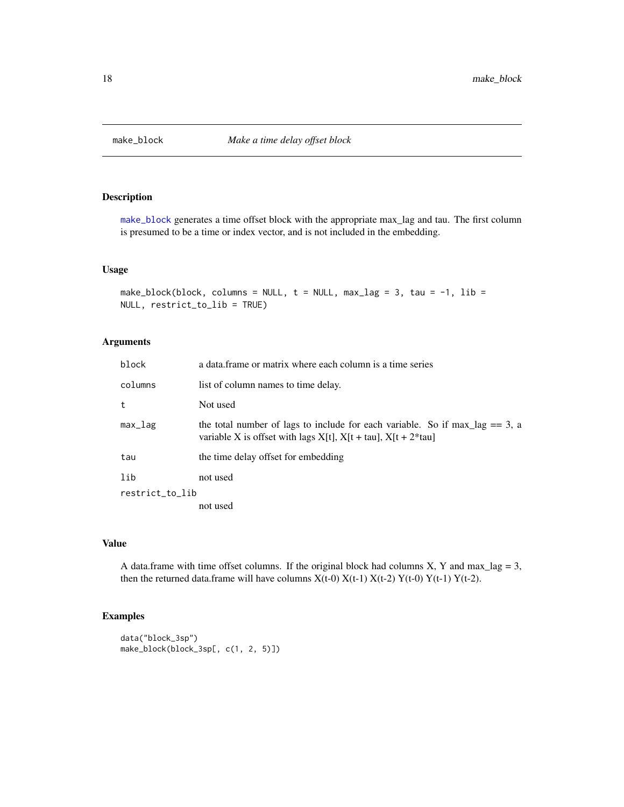<span id="page-17-1"></span><span id="page-17-0"></span>

#### Description

[make\\_block](#page-17-1) generates a time offset block with the appropriate max\_lag and tau. The first column is presumed to be a time or index vector, and is not included in the embedding.

#### Usage

```
make_block(block, columns = NULL, t = NULL, max_lag = 3, tau = -1, lib =
NULL, restrict_to_lib = TRUE)
```
#### Arguments

| block           | a data frame or matrix where each column is a time series                                                                                                 |
|-----------------|-----------------------------------------------------------------------------------------------------------------------------------------------------------|
| columns         | list of column names to time delay.                                                                                                                       |
| t               | Not used                                                                                                                                                  |
| $max_l$         | the total number of lags to include for each variable. So if max $\log == 3$ , a<br>variable X is offset with lags $X[t]$ , $X[t + tau]$ , $X[t + 2*tau]$ |
| tau             | the time delay offset for embedding                                                                                                                       |
| lib             | not used                                                                                                                                                  |
| restrict_to_lib |                                                                                                                                                           |
|                 | not used                                                                                                                                                  |

#### Value

A data.frame with time offset columns. If the original block had columns X, Y and max\_lag = 3, then the returned data.frame will have columns  $X(t-0) X(t-1) X(t-2) Y(t-0) Y(t-1) Y(t-2)$ .

#### Examples

```
data("block_3sp")
make_block(block_3sp[, c(1, 2, 5)])
```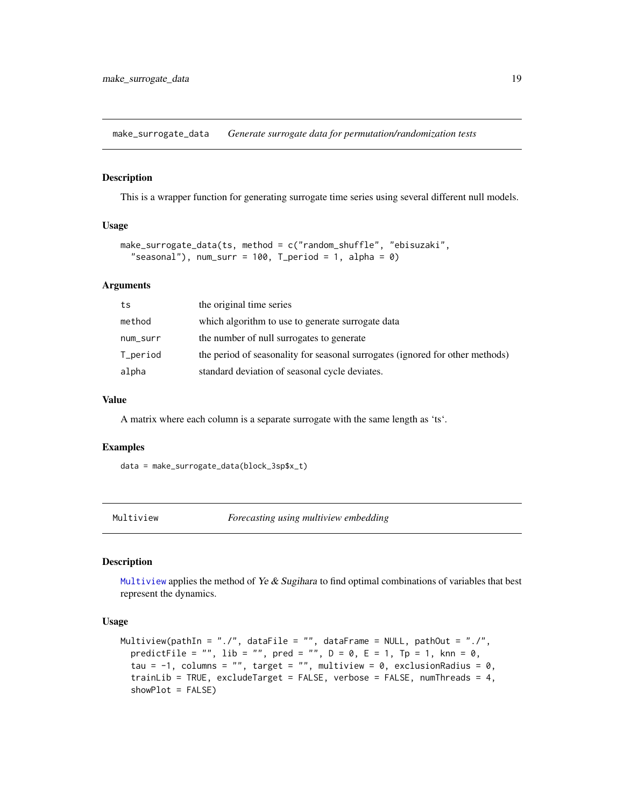<span id="page-18-0"></span>make\_surrogate\_data *Generate surrogate data for permutation/randomization tests*

#### Description

This is a wrapper function for generating surrogate time series using several different null models.

#### Usage

```
make_surrogate_data(ts, method = c("random_shuffle", "ebisuzaki",
  "seasonal"), num_surr = 100, T_period = 1, alpha = 0)
```
#### Arguments

| ts       | the original time series                                                      |
|----------|-------------------------------------------------------------------------------|
| method   | which algorithm to use to generate surrogate data                             |
| num_surr | the number of null surrogates to generate                                     |
| T_period | the period of seasonality for seasonal surrogates (ignored for other methods) |
| alpha    | standard deviation of seasonal cycle deviates.                                |

#### Value

A matrix where each column is a separate surrogate with the same length as 'ts'.

#### Examples

data = make\_surrogate\_data(block\_3sp\$x\_t)

<span id="page-18-1"></span>

Multiview *Forecasting using multiview embedding*

#### Description

[Multiview](#page-18-1) applies the method of Ye  $\&$  Sugihara to find optimal combinations of variables that best represent the dynamics.

#### Usage

```
Multiview(pathIn = "./", dataFile = "", dataFrame = NULL, pathOut = "./",
 predictFile = "", lib = "", pred = "", D = 0, E = 1, Tp = 1, knn = 0,
  tau = -1, columns = "", target = "", multiview = 0, exclusionRadius = 0,
  trainLib = TRUE, excludeTarget = FALSE, verbose = FALSE, numThreads = 4,
  showPlot = FALSE)
```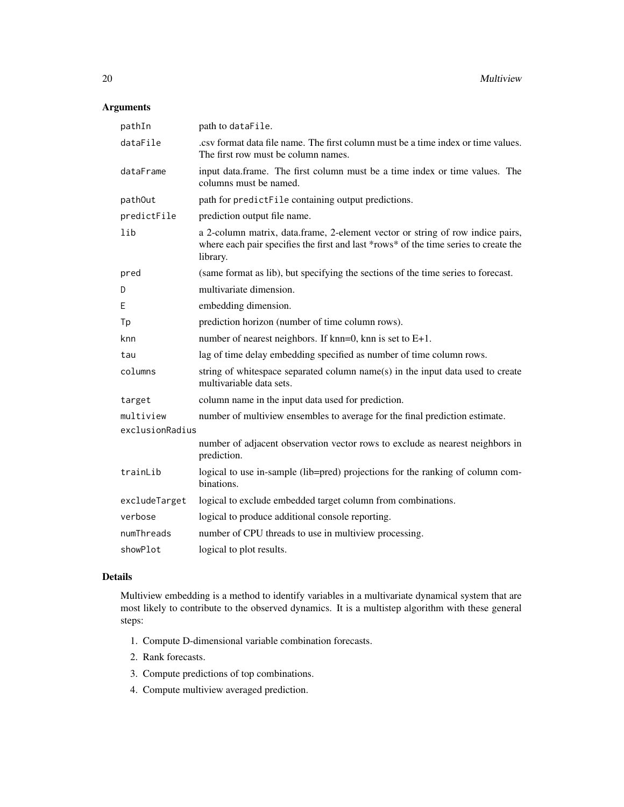#### Arguments

| pathIn          | path to dataFile.                                                                                                                                                                  |
|-----------------|------------------------------------------------------------------------------------------------------------------------------------------------------------------------------------|
| dataFile        | . csy format data file name. The first column must be a time index or time values.<br>The first row must be column names.                                                          |
| dataFrame       | input data.frame. The first column must be a time index or time values. The<br>columns must be named.                                                                              |
| path0ut         | path for predictFile containing output predictions.                                                                                                                                |
| predictFile     | prediction output file name.                                                                                                                                                       |
| lib             | a 2-column matrix, data.frame, 2-element vector or string of row indice pairs,<br>where each pair specifies the first and last *rows* of the time series to create the<br>library. |
| pred            | (same format as lib), but specifying the sections of the time series to forecast.                                                                                                  |
| D               | multivariate dimension.                                                                                                                                                            |
| E               | embedding dimension.                                                                                                                                                               |
| Tp              | prediction horizon (number of time column rows).                                                                                                                                   |
| knn             | number of nearest neighbors. If $km=0$ , knn is set to $E+1$ .                                                                                                                     |
| tau             | lag of time delay embedding specified as number of time column rows.                                                                                                               |
| columns         | string of whitespace separated column name(s) in the input data used to create<br>multivariable data sets.                                                                         |
| target          | column name in the input data used for prediction.                                                                                                                                 |
| multiview       | number of multiview ensembles to average for the final prediction estimate.                                                                                                        |
| exclusionRadius |                                                                                                                                                                                    |
|                 | number of adjacent observation vector rows to exclude as nearest neighbors in<br>prediction.                                                                                       |
| trainLib        | logical to use in-sample (lib=pred) projections for the ranking of column com-<br>binations.                                                                                       |
| excludeTarget   | logical to exclude embedded target column from combinations.                                                                                                                       |
| verbose         | logical to produce additional console reporting.                                                                                                                                   |
| numThreads      | number of CPU threads to use in multiview processing.                                                                                                                              |
| showPlot        | logical to plot results.                                                                                                                                                           |
|                 |                                                                                                                                                                                    |

#### Details

Multiview embedding is a method to identify variables in a multivariate dynamical system that are most likely to contribute to the observed dynamics. It is a multistep algorithm with these general steps:

- 1. Compute D-dimensional variable combination forecasts.
- 2. Rank forecasts.
- 3. Compute predictions of top combinations.
- 4. Compute multiview averaged prediction.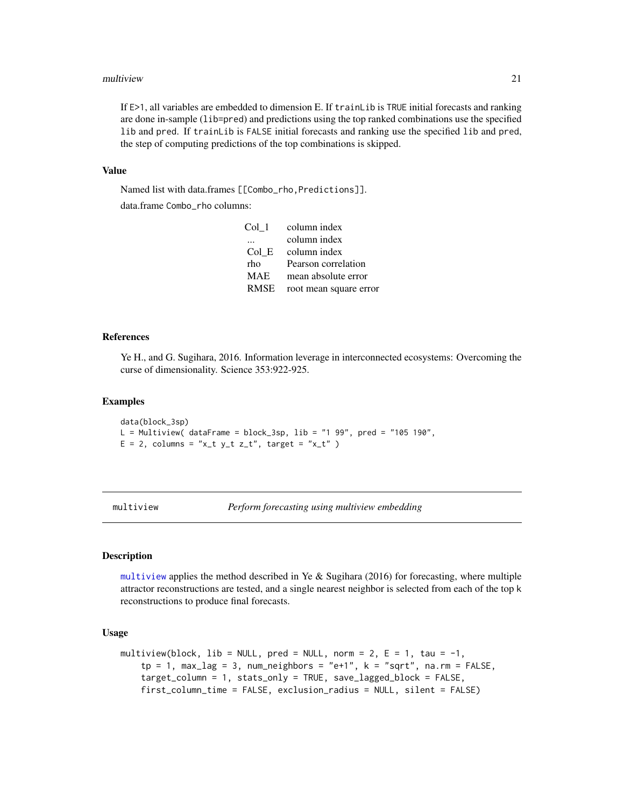#### <span id="page-20-0"></span>multiview 21

If E>1, all variables are embedded to dimension E. If trainLib is TRUE initial forecasts and ranking are done in-sample (lib=pred) and predictions using the top ranked combinations use the specified lib and pred. If trainLib is FALSE initial forecasts and ranking use the specified lib and pred, the step of computing predictions of the top combinations is skipped.

#### Value

Named list with data.frames [[Combo\_rho,Predictions]].

data.frame Combo\_rho columns:

| Col 1      | column index           |
|------------|------------------------|
|            | column index           |
| Col E      | column index           |
| rho        | Pearson correlation    |
| <b>MAE</b> | mean absolute error    |
| RMSE       | root mean square error |

#### References

Ye H., and G. Sugihara, 2016. Information leverage in interconnected ecosystems: Overcoming the curse of dimensionality. Science 353:922-925.

#### Examples

data(block\_3sp)  $L = Multiview( dataFrame = block_3sp, lib = "1 99", pred = "105 190",$  $E = 2$ , columns = "x\_t y\_t z\_t", target = "x\_t" )

<span id="page-20-1"></span>multiview *Perform forecasting using multiview embedding*

#### Description

[multiview](#page-20-1) applies the method described in Ye & Sugihara (2016) for forecasting, where multiple attractor reconstructions are tested, and a single nearest neighbor is selected from each of the top k reconstructions to produce final forecasts.

#### Usage

```
multiview(block, lib = NULL, pred = NULL, norm = 2, E = 1, tau = -1,
    tp = 1, max_lag = 3, num_neighbors = "e+1", k = "sqrt", na.rm = FALSE,
    target_column = 1, stats_only = TRUE, save_lagged_block = FALSE,
    first_column_time = FALSE, exclusion_radius = NULL, silent = FALSE)
```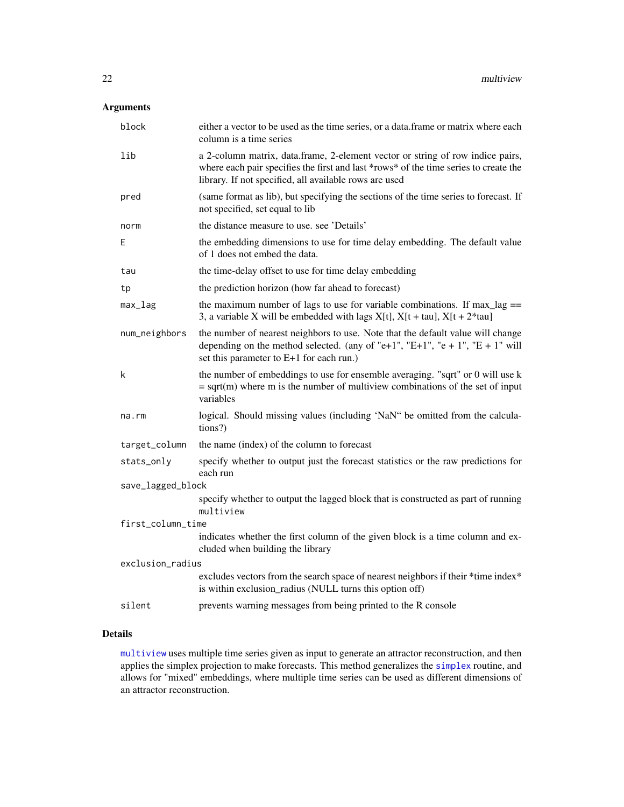#### <span id="page-21-0"></span>Arguments

| block             | either a vector to be used as the time series, or a data.frame or matrix where each<br>column is a time series                                                                                                                   |  |
|-------------------|----------------------------------------------------------------------------------------------------------------------------------------------------------------------------------------------------------------------------------|--|
| lib               | a 2-column matrix, data.frame, 2-element vector or string of row indice pairs,<br>where each pair specifies the first and last *rows* of the time series to create the<br>library. If not specified, all available rows are used |  |
| pred              | (same format as lib), but specifying the sections of the time series to forecast. If<br>not specified, set equal to lib                                                                                                          |  |
| norm              | the distance measure to use, see 'Details'                                                                                                                                                                                       |  |
| E                 | the embedding dimensions to use for time delay embedding. The default value<br>of 1 does not embed the data.                                                                                                                     |  |
| tau               | the time-delay offset to use for time delay embedding                                                                                                                                                                            |  |
| tp                | the prediction horizon (how far ahead to forecast)                                                                                                                                                                               |  |
| $max_l$           | the maximum number of lags to use for variable combinations. If $max\_lag ==$<br>3, a variable X will be embedded with lags $X[t]$ , $X[t + tau]$ , $X[t + 2*tau]$                                                               |  |
| num_neighbors     | the number of nearest neighbors to use. Note that the default value will change<br>depending on the method selected. (any of "e+1", "E+1", "e + 1", "E + 1" will<br>set this parameter to E+1 for each run.)                     |  |
| k                 | the number of embeddings to use for ensemble averaging. "sqrt" or 0 will use k<br>$=$ sqrt(m) where m is the number of multiview combinations of the set of input<br>variables                                                   |  |
| na.rm             | logical. Should missing values (including 'NaN" be omitted from the calcula-<br>tions?)                                                                                                                                          |  |
| target_column     | the name (index) of the column to forecast                                                                                                                                                                                       |  |
| stats_only        | specify whether to output just the forecast statistics or the raw predictions for<br>each run                                                                                                                                    |  |
| save_lagged_block |                                                                                                                                                                                                                                  |  |
|                   | specify whether to output the lagged block that is constructed as part of running<br>multiview                                                                                                                                   |  |
| first_column_time |                                                                                                                                                                                                                                  |  |
|                   | indicates whether the first column of the given block is a time column and ex-<br>cluded when building the library                                                                                                               |  |
| exclusion_radius  |                                                                                                                                                                                                                                  |  |
|                   | excludes vectors from the search space of nearest neighbors if their *time index*<br>is within exclusion_radius (NULL turns this option off)                                                                                     |  |
| silent            | prevents warning messages from being printed to the R console                                                                                                                                                                    |  |

#### Details

[multiview](#page-20-1) uses multiple time series given as input to generate an attractor reconstruction, and then applies the simplex projection to make forecasts. This method generalizes the [simplex](#page-27-1) routine, and allows for "mixed" embeddings, where multiple time series can be used as different dimensions of an attractor reconstruction.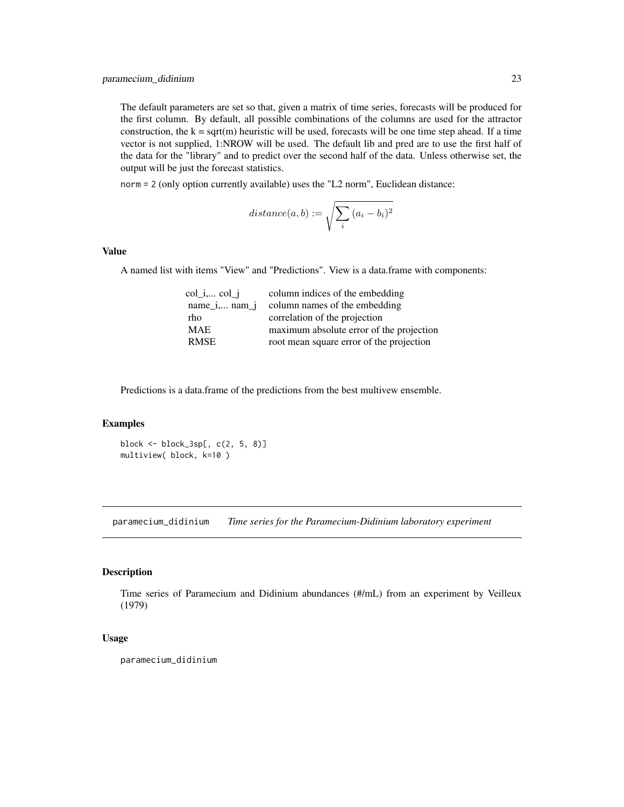<span id="page-22-0"></span>The default parameters are set so that, given a matrix of time series, forecasts will be produced for the first column. By default, all possible combinations of the columns are used for the attractor construction, the  $k = \text{sqrt}(m)$  heuristic will be used, forecasts will be one time step ahead. If a time vector is not supplied, 1:NROW will be used. The default lib and pred are to use the first half of the data for the "library" and to predict over the second half of the data. Unless otherwise set, the output will be just the forecast statistics.

norm = 2 (only option currently available) uses the "L2 norm", Euclidean distance:

$$
distance(a, b) := \sqrt{\sum_{i} (a_i - b_i)^2}
$$

#### Value

A named list with items "View" and "Predictions". View is a data.frame with components:

| column indices of the embedding          |
|------------------------------------------|
| column names of the embedding            |
| correlation of the projection            |
| maximum absolute error of the projection |
| root mean square error of the projection |
|                                          |

Predictions is a data.frame of the predictions from the best multivew ensemble.

#### Examples

block <- block\_3sp[, c(2, 5, 8)] multiview( block, k=10 )

paramecium\_didinium *Time series for the Paramecium-Didinium laboratory experiment*

#### Description

Time series of Paramecium and Didinium abundances (#/mL) from an experiment by Veilleux (1979)

#### Usage

paramecium\_didinium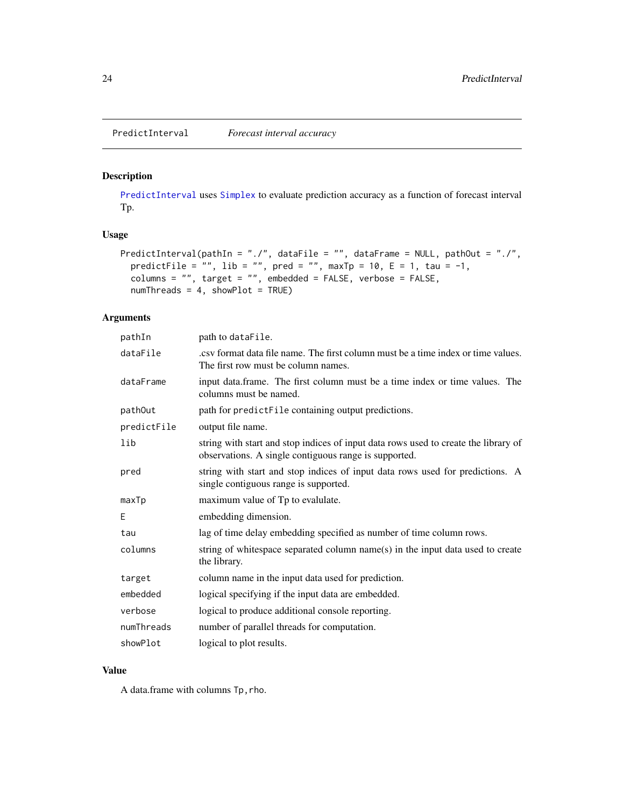#### <span id="page-23-1"></span><span id="page-23-0"></span>Description

[PredictInterval](#page-23-1) uses [Simplex](#page-26-1) to evaluate prediction accuracy as a function of forecast interval Tp.

#### Usage

```
PredictInterval(pathIn = "./", dataFile = "", dataFrame = NULL, pathOut = "./",
  predictFile = "", lib = "", pred = "", maxTp = 10, E = 1, tau = -1,
  columns = "", target = "", embedded = FALSE, verbose = FALSE,
  numThreads = 4, showPlot = TRUE)
```
#### Arguments

| pathIn      | path to dataFile.                                                                                                                            |
|-------------|----------------------------------------------------------------------------------------------------------------------------------------------|
| dataFile    | . csy format data file name. The first column must be a time index or time values.<br>The first row must be column names.                    |
| dataFrame   | input data.frame. The first column must be a time index or time values. The<br>columns must be named.                                        |
| pathOut     | path for predictFile containing output predictions.                                                                                          |
| predictFile | output file name.                                                                                                                            |
| lib         | string with start and stop indices of input data rows used to create the library of<br>observations. A single contiguous range is supported. |
| pred        | string with start and stop indices of input data rows used for predictions. A<br>single contiguous range is supported.                       |
| maxTp       | maximum value of Tp to evalulate.                                                                                                            |
| E           | embedding dimension.                                                                                                                         |
| tau         | lag of time delay embedding specified as number of time column rows.                                                                         |
| columns     | string of whitespace separated column name(s) in the input data used to create<br>the library.                                               |
| target      | column name in the input data used for prediction.                                                                                           |
| embedded    | logical specifying if the input data are embedded.                                                                                           |
| verbose     | logical to produce additional console reporting.                                                                                             |
| numThreads  | number of parallel threads for computation.                                                                                                  |
| showPlot    | logical to plot results.                                                                                                                     |

#### Value

A data.frame with columns Tp,rho.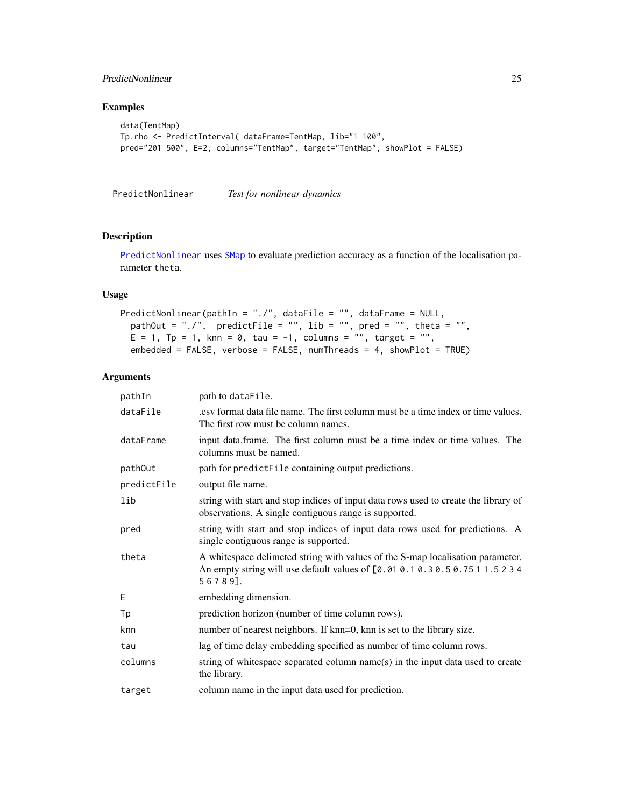#### <span id="page-24-0"></span>PredictNonlinear 25

#### Examples

```
data(TentMap)
Tp.rho <- PredictInterval( dataFrame=TentMap, lib="1 100",
pred="201 500", E=2, columns="TentMap", target="TentMap", showPlot = FALSE)
```
<span id="page-24-1"></span>PredictNonlinear *Test for nonlinear dynamics*

#### Description

[PredictNonlinear](#page-24-1) uses [SMap](#page-30-1) to evaluate prediction accuracy as a function of the localisation parameter theta.

#### Usage

```
PredictNonlinear(pathIn = "./", dataFile = "", dataFrame = NULL,
 pathOut = "./", predictFile = "", lib = "", pred = "", theta = "",E = 1, Tp = 1, knn = 0, tau = -1, columns = "", target = "",
  embedded = FALSE, verbose = FALSE, numThreads = 4, showPlot = TRUE)
```
#### Arguments

| pathIn      | path to dataFile.                                                                                                                                                          |
|-------------|----------------------------------------------------------------------------------------------------------------------------------------------------------------------------|
| dataFile    | .csv format data file name. The first column must be a time index or time values.<br>The first row must be column names.                                                   |
| dataFrame   | input data.frame. The first column must be a time index or time values. The<br>columns must be named.                                                                      |
| pathOut     | path for predictFile containing output predictions.                                                                                                                        |
| predictFile | output file name.                                                                                                                                                          |
| lib         | string with start and stop indices of input data rows used to create the library of<br>observations. A single contiguous range is supported.                               |
| pred        | string with start and stop indices of input data rows used for predictions. A<br>single contiguous range is supported.                                                     |
| theta       | A whitespace delimeted string with values of the S-map localisation parameter.<br>An empty string will use default values of [0.01 0.1 0.3 0.5 0.75 1 1.5 2 3 4<br>56789]. |
| E           | embedding dimension.                                                                                                                                                       |
| Тp          | prediction horizon (number of time column rows).                                                                                                                           |
| knn         | number of nearest neighbors. If knn=0, knn is set to the library size.                                                                                                     |
| tau         | lag of time delay embedding specified as number of time column rows.                                                                                                       |
| columns     | string of whitespace separated column name(s) in the input data used to create<br>the library.                                                                             |
| target      | column name in the input data used for prediction.                                                                                                                         |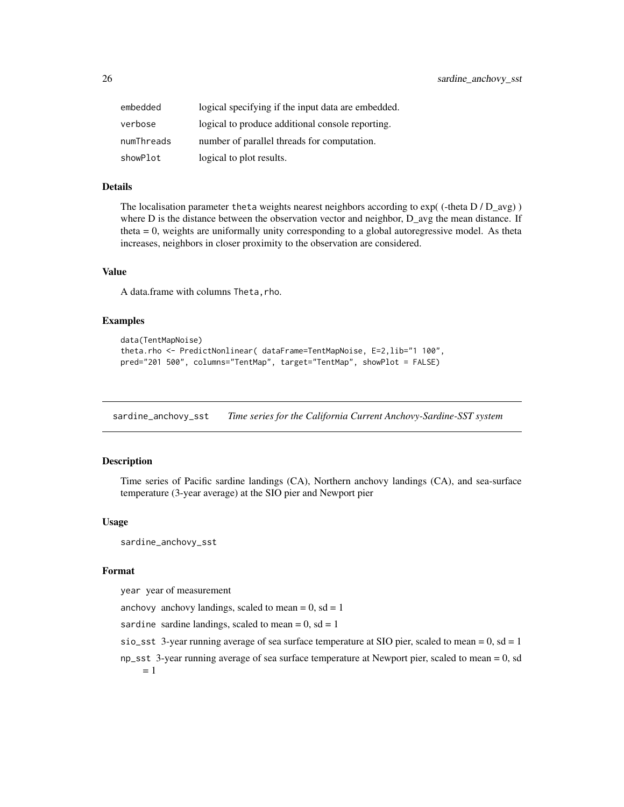<span id="page-25-0"></span>

| embedded   | logical specifying if the input data are embedded. |
|------------|----------------------------------------------------|
| verbose    | logical to produce additional console reporting.   |
| numThreads | number of parallel threads for computation.        |
| showPlot   | logical to plot results.                           |

#### Details

The localisation parameter theta weights nearest neighbors according to  $exp((-theta D) D_{avg})$ where D is the distance between the observation vector and neighbor, D\_avg the mean distance. If theta = 0, weights are uniformally unity corresponding to a global autoregressive model. As theta increases, neighbors in closer proximity to the observation are considered.

#### Value

A data.frame with columns Theta, rho.

#### Examples

```
data(TentMapNoise)
theta.rho <- PredictNonlinear( dataFrame=TentMapNoise, E=2,lib="1 100",
pred="201 500", columns="TentMap", target="TentMap", showPlot = FALSE)
```
sardine\_anchovy\_sst *Time series for the California Current Anchovy-Sardine-SST system*

#### **Description**

Time series of Pacific sardine landings (CA), Northern anchovy landings (CA), and sea-surface temperature (3-year average) at the SIO pier and Newport pier

#### Usage

sardine\_anchovy\_sst

#### Format

year year of measurement

anchovy anchovy landings, scaled to mean =  $0$ , sd = 1

sardine sardine landings, scaled to mean =  $0$ , sd = 1

sio\_sst 3-year running average of sea surface temperature at SIO pier, scaled to mean =  $0$ , sd = 1

np\_sst 3-year running average of sea surface temperature at Newport pier, scaled to mean = 0, sd  $= 1$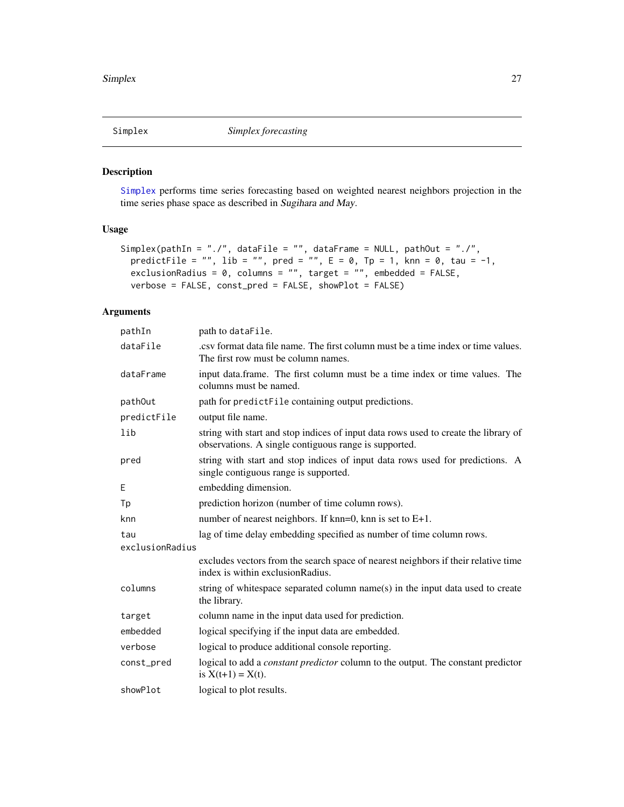<span id="page-26-1"></span><span id="page-26-0"></span>

#### Description

[Simplex](#page-26-1) performs time series forecasting based on weighted nearest neighbors projection in the time series phase space as described in Sugihara and May.

#### Usage

```
Simplex(pathIn = "./", dataFile = "", dataFrame = NULL, pathOut = "./",
 predictFile = "", lib = "", pred = "", E = 0, Tp = 1, knn = 0, tau = -1,
 exclusionRadius = 0, columns = "", target = "", embedded = FALSE,
 verbose = FALSE, const_pred = FALSE, showPlot = FALSE)
```
#### Arguments

| pathIn          | path to dataFile.                                                                                                                            |  |  |  |
|-----------------|----------------------------------------------------------------------------------------------------------------------------------------------|--|--|--|
| dataFile        | .csv format data file name. The first column must be a time index or time values.<br>The first row must be column names.                     |  |  |  |
| dataFrame       | input data.frame. The first column must be a time index or time values. The<br>columns must be named.                                        |  |  |  |
| pathOut         | path for predictFile containing output predictions.                                                                                          |  |  |  |
| predictFile     | output file name.                                                                                                                            |  |  |  |
| lib             | string with start and stop indices of input data rows used to create the library of<br>observations. A single contiguous range is supported. |  |  |  |
| pred            | string with start and stop indices of input data rows used for predictions. A<br>single contiguous range is supported.                       |  |  |  |
| E               | embedding dimension.                                                                                                                         |  |  |  |
| Тp              | prediction horizon (number of time column rows).                                                                                             |  |  |  |
| knn             | number of nearest neighbors. If $km=0$ , $km$ is set to $E+1$ .                                                                              |  |  |  |
| tau             | lag of time delay embedding specified as number of time column rows.                                                                         |  |  |  |
| exclusionRadius |                                                                                                                                              |  |  |  |
|                 | excludes vectors from the search space of nearest neighbors if their relative time<br>index is within exclusionRadius.                       |  |  |  |
| columns         | string of whitespace separated column name(s) in the input data used to create<br>the library.                                               |  |  |  |
| target          | column name in the input data used for prediction.                                                                                           |  |  |  |
| embedded        | logical specifying if the input data are embedded.                                                                                           |  |  |  |
| verbose         | logical to produce additional console reporting.                                                                                             |  |  |  |
| const_pred      | logical to add a <i>constant predictor</i> column to the output. The constant predictor<br>is $X(t+1) = X(t)$ .                              |  |  |  |
| showPlot        | logical to plot results.                                                                                                                     |  |  |  |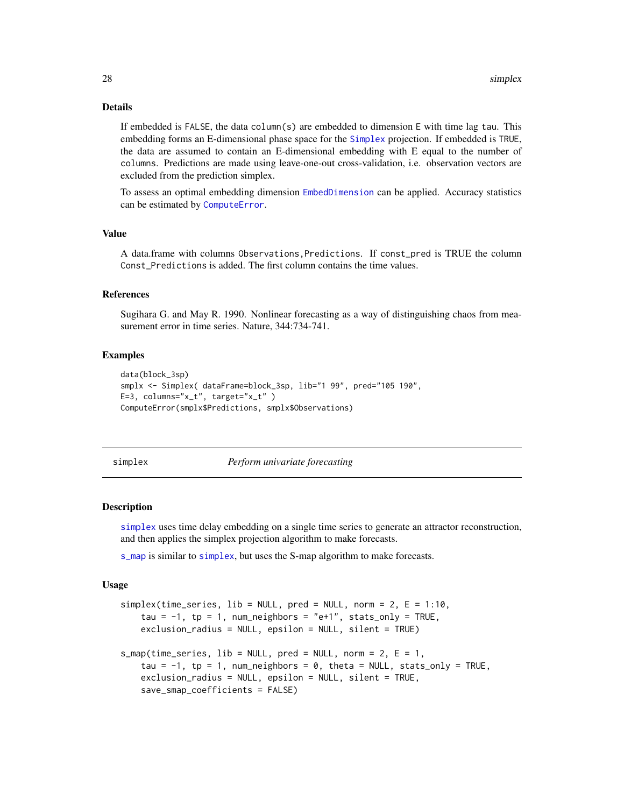#### Details

If embedded is FALSE, the data column(s) are embedded to dimension E with time lag tau. This embedding forms an E-dimensional phase space for the [Simplex](#page-26-1) projection. If embedded is TRUE, the data are assumed to contain an E-dimensional embedding with E equal to the number of columns. Predictions are made using leave-one-out cross-validation, i.e. observation vectors are excluded from the prediction simplex.

To assess an optimal embedding dimension [EmbedDimension](#page-14-1) can be applied. Accuracy statistics can be estimated by [ComputeError](#page-10-1).

#### Value

A data.frame with columns Observations,Predictions. If const\_pred is TRUE the column Const\_Predictions is added. The first column contains the time values.

#### References

Sugihara G. and May R. 1990. Nonlinear forecasting as a way of distinguishing chaos from measurement error in time series. Nature, 344:734-741.

#### Examples

```
data(block_3sp)
smplx <- Simplex( dataFrame=block_3sp, lib="1 99", pred="105 190",
E=3, columns="x_t", target="x_t" )
ComputeError(smplx$Predictions, smplx$Observations)
```
<span id="page-27-1"></span>

simplex *Perform univariate forecasting*

#### <span id="page-27-2"></span>Description

[simplex](#page-27-1) uses time delay embedding on a single time series to generate an attractor reconstruction, and then applies the simplex projection algorithm to make forecasts.

[s\\_map](#page-27-2) is similar to [simplex](#page-27-1), but uses the S-map algorithm to make forecasts.

#### Usage

```
simplex(time_series, lib = NULL, pred = NULL, norm = 2, E = 1:10,
   tau = -1, tp = 1, num_neighbors = "e+1", stats_only = TRUE,
   exclusion_radius = NULL, epsilon = NULL, silent = TRUE)
s_{max}(time_{series}, lib = NULL, pred = NULL, norm = 2, E = 1,tau = -1, tp = 1, num_neighbors = 0, theta = NULL, stats_only = TRUE,
   exclusion_radius = NULL, epsilon = NULL, silent = TRUE,
   save_smap_coefficients = FALSE)
```
<span id="page-27-0"></span>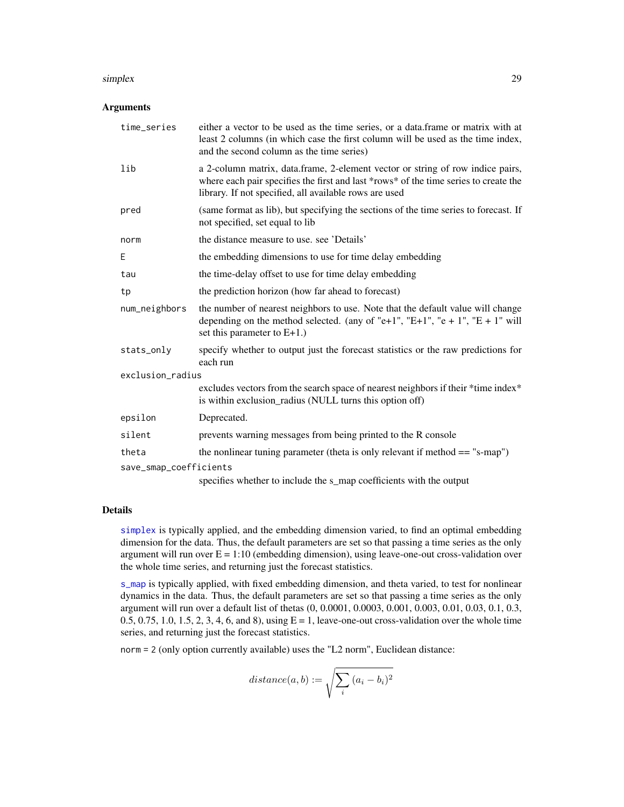#### <span id="page-28-0"></span>simplex 29

#### Arguments

| time_series            | either a vector to be used as the time series, or a data. frame or matrix with at<br>least 2 columns (in which case the first column will be used as the time index,<br>and the second column as the time series)                |  |  |
|------------------------|----------------------------------------------------------------------------------------------------------------------------------------------------------------------------------------------------------------------------------|--|--|
| lib                    | a 2-column matrix, data.frame, 2-element vector or string of row indice pairs,<br>where each pair specifies the first and last *rows* of the time series to create the<br>library. If not specified, all available rows are used |  |  |
| pred                   | (same format as lib), but specifying the sections of the time series to forecast. If<br>not specified, set equal to lib                                                                                                          |  |  |
| norm                   | the distance measure to use, see 'Details'                                                                                                                                                                                       |  |  |
| Ε                      | the embedding dimensions to use for time delay embedding                                                                                                                                                                         |  |  |
| tau                    | the time-delay offset to use for time delay embedding                                                                                                                                                                            |  |  |
| tp                     | the prediction horizon (how far ahead to forecast)                                                                                                                                                                               |  |  |
| num_neighbors          | the number of nearest neighbors to use. Note that the default value will change<br>depending on the method selected. (any of "e+1", "E+1", "e + 1", "E + 1" will<br>set this parameter to $E+1$ .)                               |  |  |
| stats_only             | specify whether to output just the forecast statistics or the raw predictions for<br>each run                                                                                                                                    |  |  |
| exclusion_radius       |                                                                                                                                                                                                                                  |  |  |
|                        | excludes vectors from the search space of nearest neighbors if their *time index*<br>is within exclusion_radius (NULL turns this option off)                                                                                     |  |  |
| epsilon                | Deprecated.                                                                                                                                                                                                                      |  |  |
| silent                 | prevents warning messages from being printed to the R console                                                                                                                                                                    |  |  |
| theta                  | the nonlinear tuning parameter (theta is only relevant if method $==$ "s-map")                                                                                                                                                   |  |  |
| save_smap_coefficients |                                                                                                                                                                                                                                  |  |  |
|                        | specifies whether to include the s_map coefficients with the output                                                                                                                                                              |  |  |

#### Details

[simplex](#page-27-1) is typically applied, and the embedding dimension varied, to find an optimal embedding dimension for the data. Thus, the default parameters are set so that passing a time series as the only argument will run over  $E = 1:10$  (embedding dimension), using leave-one-out cross-validation over the whole time series, and returning just the forecast statistics.

[s\\_map](#page-27-2) is typically applied, with fixed embedding dimension, and theta varied, to test for nonlinear dynamics in the data. Thus, the default parameters are set so that passing a time series as the only argument will run over a default list of thetas (0, 0.0001, 0.0003, 0.001, 0.003, 0.01, 0.03, 0.1, 0.3,  $0.5, 0.75, 1.0, 1.5, 2, 3, 4, 6,$  and 8), using  $E = 1$ , leave-one-out cross-validation over the whole time series, and returning just the forecast statistics.

norm = 2 (only option currently available) uses the "L2 norm", Euclidean distance:

$$
distance(a, b) := \sqrt{\sum_{i} (a_i - b_i)^2}
$$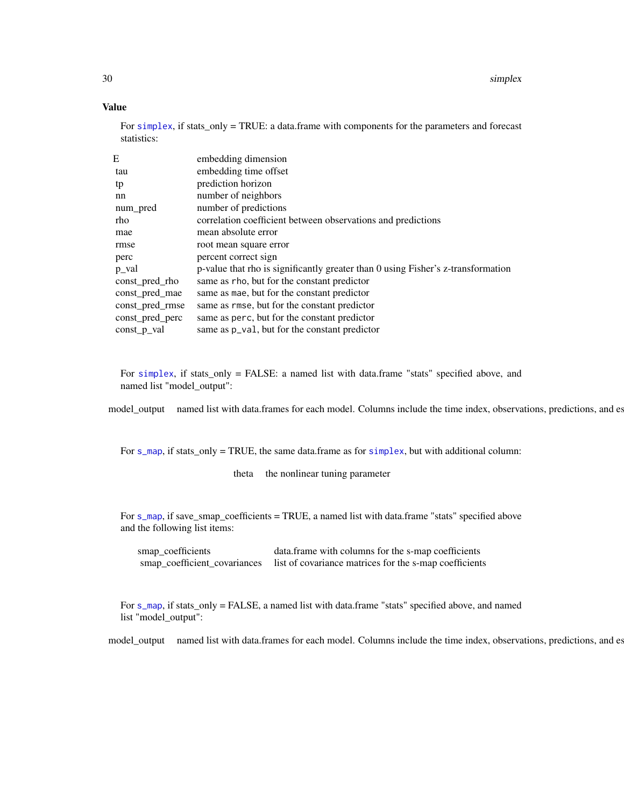30 simplex

#### Value

For [simplex](#page-27-1), if stats\_only = TRUE: a data.frame with components for the parameters and forecast statistics:

| E               | embedding dimension                                                              |
|-----------------|----------------------------------------------------------------------------------|
| tau             | embedding time offset                                                            |
| tp              | prediction horizon                                                               |
| nn              | number of neighbors                                                              |
| num_pred        | number of predictions                                                            |
| rho             | correlation coefficient between observations and predictions                     |
| mae             | mean absolute error                                                              |
| rmse            | root mean square error                                                           |
| perc            | percent correct sign                                                             |
| p_val           | p-value that rho is significantly greater than 0 using Fisher's z-transformation |
| const pred rho  | same as rho, but for the constant predictor                                      |
| const_pred_mae  | same as mae, but for the constant predictor                                      |
| const_pred_rmse | same as rmse, but for the constant predictor                                     |
| const_pred_perc | same as perc, but for the constant predictor                                     |
| const p val     | same as $p_{val}$ , but for the constant predictor                               |

For [simplex](#page-27-1), if stats\_only = FALSE: a named list with data.frame "stats" specified above, and named list "model\_output":

model\_output named list with data.frames for each model. Columns include the time index, observations, predictions, and es

For s<sub>\_map</sub>, if stats\_only = TRUE, the same data.frame as for [simplex](#page-27-1), but with additional column:

theta the nonlinear tuning parameter

For [s\\_map](#page-27-2), if save\_smap\_coefficients = TRUE, a named list with data.frame "stats" specified above and the following list items:

smap\_coefficients data.frame with columns for the s-map coefficients smap\_coefficient\_covariances list of covariance matrices for the s-map coefficients

For [s\\_map](#page-27-2), if stats\_only = FALSE, a named list with data.frame "stats" specified above, and named list "model\_output":

model\_output named list with data.frames for each model. Columns include the time index, observations, predictions, and es

<span id="page-29-0"></span>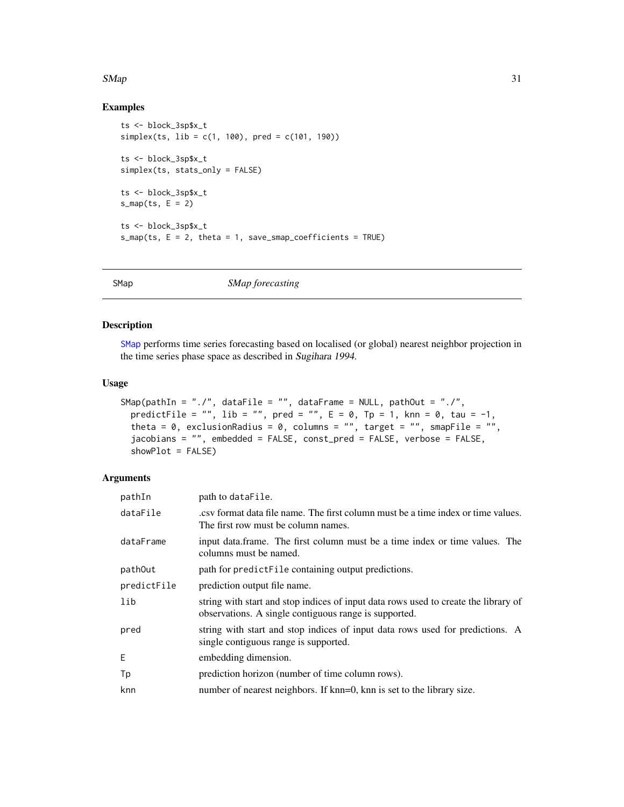#### <span id="page-30-0"></span> $SMap$  31

#### Examples

```
ts <- block_3sp$x_t
simplex(ts, lib = c(1, 100), pred = c(101, 190))
ts <- block_3sp$x_t
simplex(ts, stats_only = FALSE)
ts <- block_3sp$x_t
s_map(ts, E = 2)ts <- block_3sp$x_t
s_map(ts, E = 2, theta = 1, save_smap_coefficients = TRUE)
```
<span id="page-30-1"></span>

SMap *SMap forecasting*

#### Description

[SMap](#page-30-1) performs time series forecasting based on localised (or global) nearest neighbor projection in the time series phase space as described in Sugihara 1994.

#### Usage

```
SMap(pathIn = "./", dataFile = "", dataFrame = NULL, pathOut = "./",
  predictFile = "", lib = "", pred = "", E = 0, Tp = 1, knn = 0, tau = -1,
 theta = 0, exclusionRadius = 0, columns = "", target = "", smapFile = "",
 jacobians = "", embedded = FALSE, const_pred = FALSE, verbose = FALSE,
 showPlot = FALSE)
```
#### Arguments

| pathIn      | path to dataFile.                                                                                                                            |
|-------------|----------------------------------------------------------------------------------------------------------------------------------------------|
| dataFile    | ext format data file name. The first column must be a time index or time values.<br>The first row must be column names.                      |
| dataFrame   | input data.frame. The first column must be a time index or time values. The<br>columns must be named.                                        |
| pathOut     | path for predictFile containing output predictions.                                                                                          |
| predictFile | prediction output file name.                                                                                                                 |
| lib         | string with start and stop indices of input data rows used to create the library of<br>observations. A single contiguous range is supported. |
| pred        | string with start and stop indices of input data rows used for predictions. A<br>single contiguous range is supported.                       |
| E           | embedding dimension.                                                                                                                         |
| Tp          | prediction horizon (number of time column rows).                                                                                             |
| knn         | number of nearest neighbors. If knn=0, knn is set to the library size.                                                                       |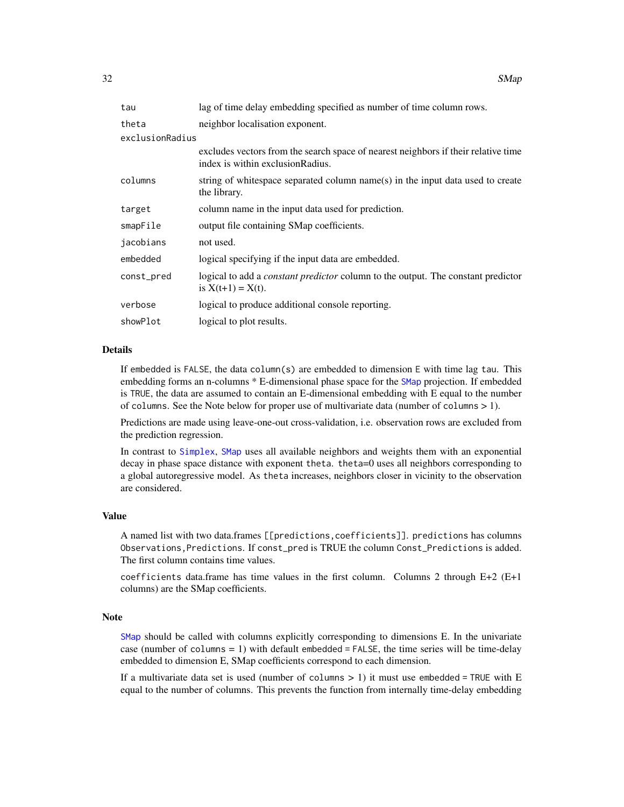<span id="page-31-0"></span>

| tau             | lag of time delay embedding specified as number of time column rows.                                                    |  |  |
|-----------------|-------------------------------------------------------------------------------------------------------------------------|--|--|
| theta           | neighbor localisation exponent.                                                                                         |  |  |
| exclusionRadius |                                                                                                                         |  |  |
|                 | excludes vectors from the search space of nearest neighbors if their relative time<br>index is within exclusion Radius. |  |  |
| columns         | string of whitespace separated column name(s) in the input data used to create<br>the library.                          |  |  |
| target          | column name in the input data used for prediction.                                                                      |  |  |
| smapFile        | output file containing SMap coefficients.                                                                               |  |  |
| jacobians       | not used.                                                                                                               |  |  |
| embedded        | logical specifying if the input data are embedded.                                                                      |  |  |
| const_pred      | logical to add a <i>constant predictor</i> column to the output. The constant predictor<br>is $X(t+1) = X(t)$ .         |  |  |
| verbose         | logical to produce additional console reporting.                                                                        |  |  |
| showPlot        | logical to plot results.                                                                                                |  |  |
|                 |                                                                                                                         |  |  |

#### Details

If embedded is FALSE, the data column(s) are embedded to dimension E with time lag tau. This embedding forms an n-columns \* E-dimensional phase space for the [SMap](#page-30-1) projection. If embedded is TRUE, the data are assumed to contain an E-dimensional embedding with E equal to the number of columns. See the Note below for proper use of multivariate data (number of columns > 1).

Predictions are made using leave-one-out cross-validation, i.e. observation rows are excluded from the prediction regression.

In contrast to [Simplex](#page-26-1), [SMap](#page-30-1) uses all available neighbors and weights them with an exponential decay in phase space distance with exponent theta. theta=0 uses all neighbors corresponding to a global autoregressive model. As theta increases, neighbors closer in vicinity to the observation are considered.

#### Value

A named list with two data.frames [[predictions,coefficients]]. predictions has columns Observations,Predictions. If const\_pred is TRUE the column Const\_Predictions is added. The first column contains time values.

coefficients data.frame has time values in the first column. Columns 2 through  $E+2$  ( $E+1$ columns) are the SMap coefficients.

#### Note

[SMap](#page-30-1) should be called with columns explicitly corresponding to dimensions E. In the univariate case (number of columns  $= 1$ ) with default embedded  $=$  FALSE, the time series will be time-delay embedded to dimension E, SMap coefficients correspond to each dimension.

If a multivariate data set is used (number of columns  $> 1$ ) it must use embedded = TRUE with E equal to the number of columns. This prevents the function from internally time-delay embedding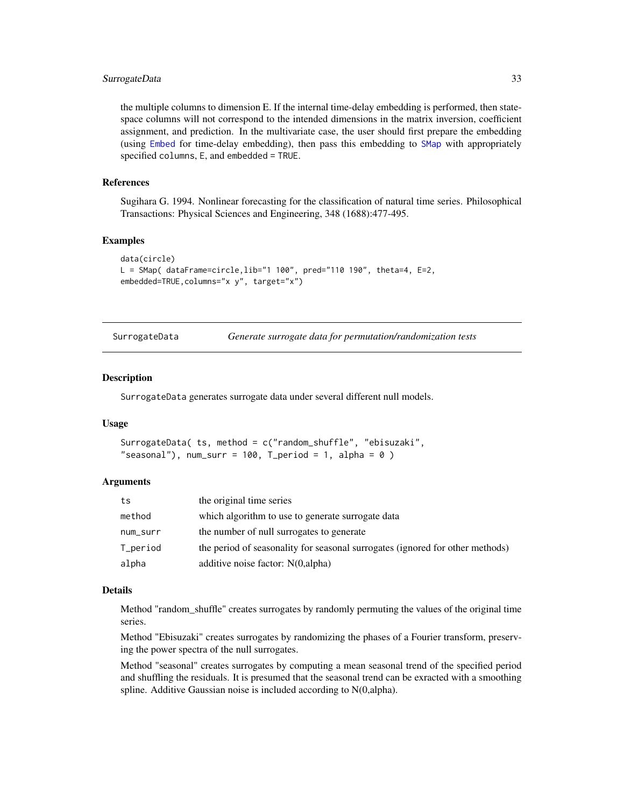#### <span id="page-32-0"></span>SurrogateData 33

the multiple columns to dimension E. If the internal time-delay embedding is performed, then statespace columns will not correspond to the intended dimensions in the matrix inversion, coefficient assignment, and prediction. In the multivariate case, the user should first prepare the embedding (using [Embed](#page-13-1) for time-delay embedding), then pass this embedding to [SMap](#page-30-1) with appropriately specified columns, E, and embedded = TRUE.

#### References

Sugihara G. 1994. Nonlinear forecasting for the classification of natural time series. Philosophical Transactions: Physical Sciences and Engineering, 348 (1688):477-495.

#### Examples

```
data(circle)
L = SMap( dataFrame=circle,lib="1 100", pred="110 190", theta=4, E=2,
embedded=TRUE,columns="x y", target="x")
```

| SurrogateData |  |  |  |  | Generate surrogate data for permutation/randomization tests |
|---------------|--|--|--|--|-------------------------------------------------------------|
|---------------|--|--|--|--|-------------------------------------------------------------|

#### Description

SurrogateData generates surrogate data under several different null models.

#### Usage

```
SurrogateData( ts, method = c("random_shuffle", "ebisuzaki",
"seasonal"), num_surr = 100, T_period = 1, alpha = 0)
```
#### Arguments

| ts       | the original time series                                                      |
|----------|-------------------------------------------------------------------------------|
| method   | which algorithm to use to generate surrogate data                             |
| num_surr | the number of null surrogates to generate                                     |
| T_period | the period of seasonality for seasonal surrogates (ignored for other methods) |
| alpha    | additive noise factor: N(0,alpha)                                             |

#### Details

Method "random\_shuffle" creates surrogates by randomly permuting the values of the original time series.

Method "Ebisuzaki" creates surrogates by randomizing the phases of a Fourier transform, preserving the power spectra of the null surrogates.

Method "seasonal" creates surrogates by computing a mean seasonal trend of the specified period and shuffling the residuals. It is presumed that the seasonal trend can be exracted with a smoothing spline. Additive Gaussian noise is included according to N(0,alpha).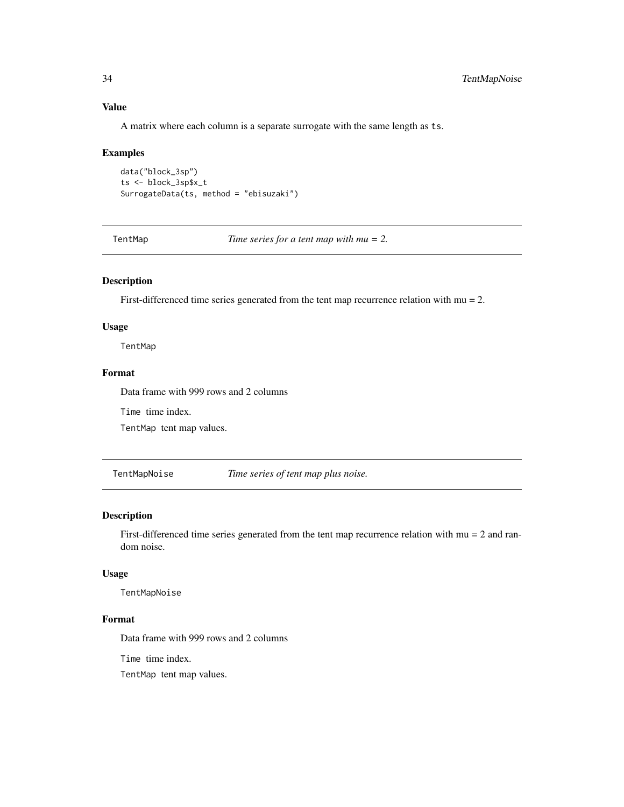#### Value

A matrix where each column is a separate surrogate with the same length as ts.

#### Examples

```
data("block_3sp")
ts <- block_3sp$x_t
SurrogateData(ts, method = "ebisuzaki")
```
TentMap *Time series for a tent map with mu = 2.*

#### Description

First-differenced time series generated from the tent map recurrence relation with  $mu = 2$ .

#### Usage

TentMap

#### Format

Data frame with 999 rows and 2 columns

Time time index.

TentMap tent map values.

TentMapNoise *Time series of tent map plus noise.*

#### Description

First-differenced time series generated from the tent map recurrence relation with mu = 2 and random noise.

#### Usage

TentMapNoise

#### Format

Data frame with 999 rows and 2 columns

Time time index.

TentMap tent map values.

<span id="page-33-0"></span>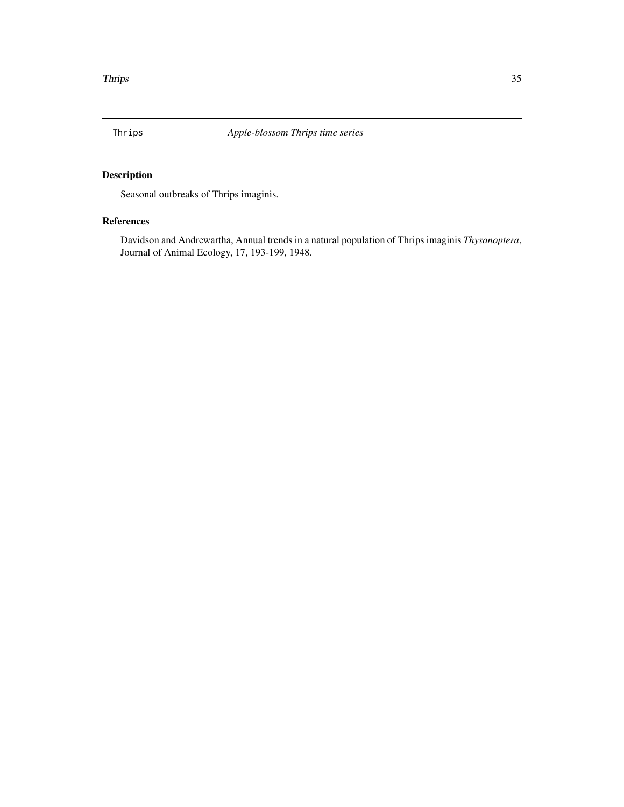<span id="page-34-0"></span>

## Description

Seasonal outbreaks of Thrips imaginis.

#### References

Davidson and Andrewartha, Annual trends in a natural population of Thrips imaginis *Thysanoptera*, Journal of Animal Ecology, 17, 193-199, 1948.